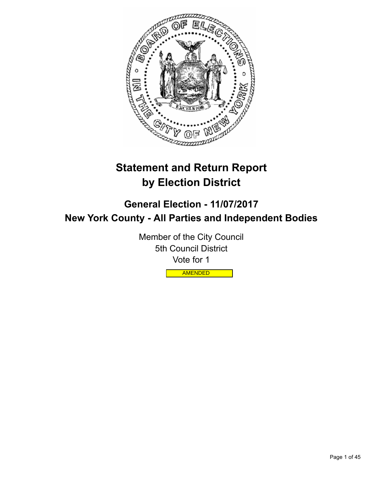

# **Statement and Return Report by Election District**

**General Election - 11/07/2017 New York County - All Parties and Independent Bodies**

> Member of the City Council 5th Council District Vote for 1

> > AMENDED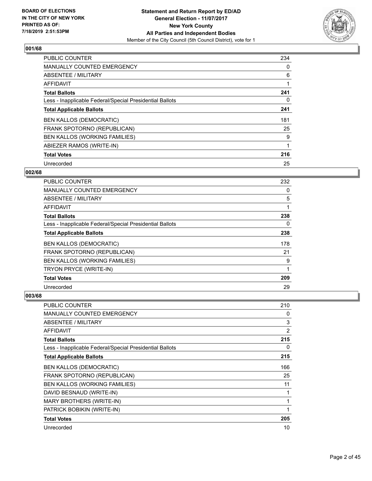

| <b>PUBLIC COUNTER</b>                                    | 234 |
|----------------------------------------------------------|-----|
| <b>MANUALLY COUNTED EMERGENCY</b>                        | 0   |
| ABSENTEE / MILITARY                                      | 6   |
| AFFIDAVIT                                                |     |
| <b>Total Ballots</b>                                     | 241 |
| Less - Inapplicable Federal/Special Presidential Ballots | 0   |
| <b>Total Applicable Ballots</b>                          | 241 |
| <b>BEN KALLOS (DEMOCRATIC)</b>                           | 181 |
| FRANK SPOTORNO (REPUBLICAN)                              | 25  |
| BEN KALLOS (WORKING FAMILIES)                            | 9   |
| ABIEZER RAMOS (WRITE-IN)                                 |     |
| <b>Total Votes</b>                                       | 216 |
| Unrecorded                                               | 25  |

## **002/68**

| <b>PUBLIC COUNTER</b>                                    | 232 |
|----------------------------------------------------------|-----|
| <b>MANUALLY COUNTED EMERGENCY</b>                        | 0   |
| ABSENTEE / MILITARY                                      | 5   |
| AFFIDAVIT                                                |     |
| <b>Total Ballots</b>                                     | 238 |
| Less - Inapplicable Federal/Special Presidential Ballots | 0   |
| <b>Total Applicable Ballots</b>                          | 238 |
| <b>BEN KALLOS (DEMOCRATIC)</b>                           | 178 |
| FRANK SPOTORNO (REPUBLICAN)                              | 21  |
| <b>BEN KALLOS (WORKING FAMILIES)</b>                     | 9   |
| TRYON PRYCE (WRITE-IN)                                   | 1   |
| <b>Total Votes</b>                                       | 209 |
| Unrecorded                                               | 29  |

| PUBLIC COUNTER                                           | 210            |
|----------------------------------------------------------|----------------|
| <b>MANUALLY COUNTED EMERGENCY</b>                        | 0              |
| ABSENTEE / MILITARY                                      | 3              |
| AFFIDAVIT                                                | $\overline{2}$ |
| <b>Total Ballots</b>                                     | 215            |
| Less - Inapplicable Federal/Special Presidential Ballots | 0              |
| <b>Total Applicable Ballots</b>                          | 215            |
| <b>BEN KALLOS (DEMOCRATIC)</b>                           | 166            |
| FRANK SPOTORNO (REPUBLICAN)                              | 25             |
| <b>BEN KALLOS (WORKING FAMILIES)</b>                     | 11             |
| DAVID BESNAUD (WRITE-IN)                                 | 1              |
| MARY BROTHERS (WRITE-IN)                                 | 1              |
| PATRICK BOBIKIN (WRITE-IN)                               | 1              |
| <b>Total Votes</b>                                       | 205            |
| Unrecorded                                               | 10             |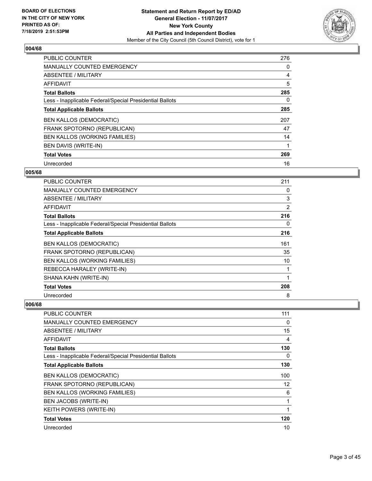

| <b>PUBLIC COUNTER</b>                                    | 276      |
|----------------------------------------------------------|----------|
| <b>MANUALLY COUNTED EMERGENCY</b>                        | 0        |
| ABSENTEE / MILITARY                                      | 4        |
| <b>AFFIDAVIT</b>                                         | 5        |
| <b>Total Ballots</b>                                     | 285      |
| Less - Inapplicable Federal/Special Presidential Ballots | $\Omega$ |
| <b>Total Applicable Ballots</b>                          | 285      |
| <b>BEN KALLOS (DEMOCRATIC)</b>                           | 207      |
| FRANK SPOTORNO (REPUBLICAN)                              | 47       |
| BEN KALLOS (WORKING FAMILIES)                            | 14       |
| <b>BEN DAVIS (WRITE-IN)</b>                              |          |
| <b>Total Votes</b>                                       | 269      |
| Unrecorded                                               | 16       |

## **005/68**

| <b>PUBLIC COUNTER</b>                                    | 211 |
|----------------------------------------------------------|-----|
| <b>MANUALLY COUNTED EMERGENCY</b>                        | 0   |
| ABSENTEE / MILITARY                                      | 3   |
| AFFIDAVIT                                                | 2   |
| <b>Total Ballots</b>                                     | 216 |
| Less - Inapplicable Federal/Special Presidential Ballots | 0   |
| <b>Total Applicable Ballots</b>                          | 216 |
| <b>BEN KALLOS (DEMOCRATIC)</b>                           | 161 |
| FRANK SPOTORNO (REPUBLICAN)                              | 35  |
| <b>BEN KALLOS (WORKING FAMILIES)</b>                     | 10  |
| REBECCA HARALEY (WRITE-IN)                               | 1   |
| SHANA KAHN (WRITE-IN)                                    | 1   |
| <b>Total Votes</b>                                       | 208 |
| Unrecorded                                               | 8   |

| <b>PUBLIC COUNTER</b>                                    | 111 |
|----------------------------------------------------------|-----|
| MANUALLY COUNTED EMERGENCY                               | 0   |
| ABSENTEE / MILITARY                                      | 15  |
| <b>AFFIDAVIT</b>                                         | 4   |
| <b>Total Ballots</b>                                     | 130 |
| Less - Inapplicable Federal/Special Presidential Ballots | 0   |
| <b>Total Applicable Ballots</b>                          | 130 |
| <b>BEN KALLOS (DEMOCRATIC)</b>                           | 100 |
| FRANK SPOTORNO (REPUBLICAN)                              | 12  |
| <b>BEN KALLOS (WORKING FAMILIES)</b>                     | 6   |
| BEN JACOBS (WRITE-IN)                                    | 1   |
| <b>KEITH POWERS (WRITE-IN)</b>                           | 1   |
| <b>Total Votes</b>                                       | 120 |
| Unrecorded                                               | 10  |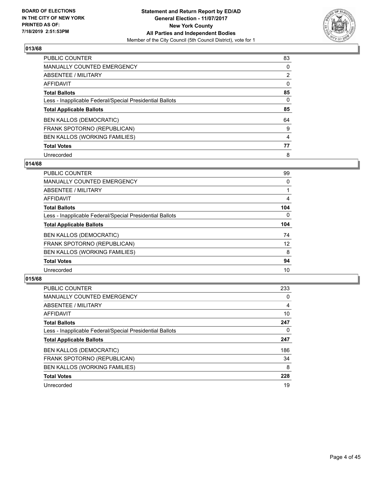

| PUBLIC COUNTER                                           | 83             |
|----------------------------------------------------------|----------------|
| MANUALLY COUNTED EMERGENCY                               | $\Omega$       |
| ABSENTEE / MILITARY                                      | $\overline{2}$ |
| AFFIDAVIT                                                | $\Omega$       |
| <b>Total Ballots</b>                                     | 85             |
| Less - Inapplicable Federal/Special Presidential Ballots | 0              |
| <b>Total Applicable Ballots</b>                          | 85             |
| <b>BEN KALLOS (DEMOCRATIC)</b>                           | 64             |
| FRANK SPOTORNO (REPUBLICAN)                              | 9              |
| BEN KALLOS (WORKING FAMILIES)                            | 4              |
| <b>Total Votes</b>                                       | 77             |
| Unrecorded                                               | 8              |

#### **014/68**

| <b>PUBLIC COUNTER</b>                                    | 99       |
|----------------------------------------------------------|----------|
| MANUALLY COUNTED EMERGENCY                               | 0        |
| ABSENTEE / MILITARY                                      |          |
| <b>AFFIDAVIT</b>                                         | 4        |
| <b>Total Ballots</b>                                     | 104      |
| Less - Inapplicable Federal/Special Presidential Ballots | $\Omega$ |
| <b>Total Applicable Ballots</b>                          | 104      |
| <b>BEN KALLOS (DEMOCRATIC)</b>                           | 74       |
| FRANK SPOTORNO (REPUBLICAN)                              | 12       |
| BEN KALLOS (WORKING FAMILIES)                            | 8        |
| <b>Total Votes</b>                                       | 94       |
| Unrecorded                                               | 10       |

| <b>PUBLIC COUNTER</b>                                    | 233      |
|----------------------------------------------------------|----------|
| <b>MANUALLY COUNTED EMERGENCY</b>                        | $\Omega$ |
| ABSENTEE / MILITARY                                      | 4        |
| <b>AFFIDAVIT</b>                                         | 10       |
| <b>Total Ballots</b>                                     | 247      |
| Less - Inapplicable Federal/Special Presidential Ballots | 0        |
| <b>Total Applicable Ballots</b>                          | 247      |
| <b>BEN KALLOS (DEMOCRATIC)</b>                           | 186      |
| FRANK SPOTORNO (REPUBLICAN)                              | 34       |
| <b>BEN KALLOS (WORKING FAMILIES)</b>                     | 8        |
| <b>Total Votes</b>                                       | 228      |
| Unrecorded                                               | 19       |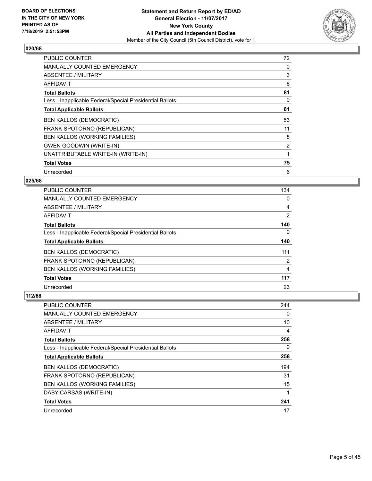

| <b>PUBLIC COUNTER</b>                                    | 72             |
|----------------------------------------------------------|----------------|
| <b>MANUALLY COUNTED EMERGENCY</b>                        | 0              |
| ABSENTEE / MILITARY                                      | 3              |
| AFFIDAVIT                                                | 6              |
| <b>Total Ballots</b>                                     | 81             |
| Less - Inapplicable Federal/Special Presidential Ballots | $\Omega$       |
| <b>Total Applicable Ballots</b>                          | 81             |
| <b>BEN KALLOS (DEMOCRATIC)</b>                           | 53             |
| FRANK SPOTORNO (REPUBLICAN)                              | 11             |
| BEN KALLOS (WORKING FAMILIES)                            | 8              |
| <b>GWEN GOODWIN (WRITE-IN)</b>                           | $\overline{2}$ |
| UNATTRIBUTABLE WRITE-IN (WRITE-IN)                       |                |
| <b>Total Votes</b>                                       | 75             |
| Unrecorded                                               | 6              |

## **025/68**

| <b>PUBLIC COUNTER</b>                                    | 134            |
|----------------------------------------------------------|----------------|
| <b>MANUALLY COUNTED EMERGENCY</b>                        | $\Omega$       |
| ABSENTEE / MILITARY                                      | 4              |
| <b>AFFIDAVIT</b>                                         | $\overline{2}$ |
| <b>Total Ballots</b>                                     | 140            |
| Less - Inapplicable Federal/Special Presidential Ballots | $\Omega$       |
| <b>Total Applicable Ballots</b>                          | 140            |
| <b>BEN KALLOS (DEMOCRATIC)</b>                           | 111            |
| FRANK SPOTORNO (REPUBLICAN)                              | 2              |
| <b>BEN KALLOS (WORKING FAMILIES)</b>                     | 4              |
| <b>Total Votes</b>                                       | 117            |
| Unrecorded                                               | 23             |

| PUBLIC COUNTER                                           | 244 |
|----------------------------------------------------------|-----|
| MANUALLY COUNTED EMERGENCY                               | 0   |
| ABSENTEE / MILITARY                                      | 10  |
| AFFIDAVIT                                                | 4   |
| <b>Total Ballots</b>                                     | 258 |
| Less - Inapplicable Federal/Special Presidential Ballots | 0   |
| <b>Total Applicable Ballots</b>                          | 258 |
| <b>BEN KALLOS (DEMOCRATIC)</b>                           | 194 |
| FRANK SPOTORNO (REPUBLICAN)                              | 31  |
| <b>BEN KALLOS (WORKING FAMILIES)</b>                     | 15  |
| DABY CARSAS (WRITE-IN)                                   | 1   |
| <b>Total Votes</b>                                       | 241 |
| Unrecorded                                               | 17  |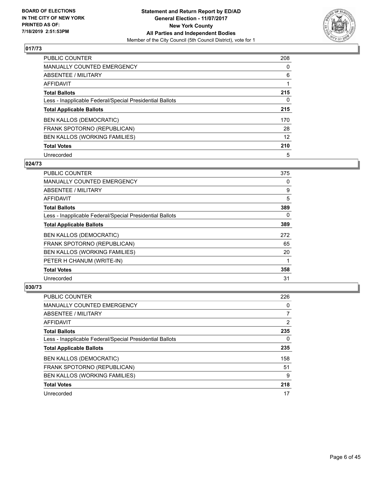

| PUBLIC COUNTER                                           | 208      |
|----------------------------------------------------------|----------|
| MANUALLY COUNTED EMERGENCY                               | $\Omega$ |
| ABSENTEE / MILITARY                                      | 6        |
| AFFIDAVIT                                                |          |
| <b>Total Ballots</b>                                     | 215      |
| Less - Inapplicable Federal/Special Presidential Ballots | 0        |
| <b>Total Applicable Ballots</b>                          | 215      |
| <b>BEN KALLOS (DEMOCRATIC)</b>                           | 170      |
| FRANK SPOTORNO (REPUBLICAN)                              | 28       |
| BEN KALLOS (WORKING FAMILIES)                            | 12       |
| <b>Total Votes</b>                                       | 210      |
| Unrecorded                                               | 5        |

#### **024/73**

| <b>PUBLIC COUNTER</b>                                    | 375      |
|----------------------------------------------------------|----------|
| <b>MANUALLY COUNTED EMERGENCY</b>                        | $\Omega$ |
| ABSENTEE / MILITARY                                      | 9        |
| <b>AFFIDAVIT</b>                                         | 5        |
| <b>Total Ballots</b>                                     | 389      |
| Less - Inapplicable Federal/Special Presidential Ballots | 0        |
| <b>Total Applicable Ballots</b>                          | 389      |
| <b>BEN KALLOS (DEMOCRATIC)</b>                           | 272      |
| FRANK SPOTORNO (REPUBLICAN)                              | 65       |
| BEN KALLOS (WORKING FAMILIES)                            | 20       |
| PETER H CHANUM (WRITE-IN)                                |          |
| <b>Total Votes</b>                                       | 358      |
| Unrecorded                                               | 31       |

| PUBLIC COUNTER                                           | 226 |
|----------------------------------------------------------|-----|
| <b>MANUALLY COUNTED EMERGENCY</b>                        | 0   |
| ABSENTEE / MILITARY                                      | 7   |
| AFFIDAVIT                                                | 2   |
| <b>Total Ballots</b>                                     | 235 |
| Less - Inapplicable Federal/Special Presidential Ballots | 0   |
| <b>Total Applicable Ballots</b>                          | 235 |
| <b>BEN KALLOS (DEMOCRATIC)</b>                           | 158 |
| FRANK SPOTORNO (REPUBLICAN)                              | 51  |
| BEN KALLOS (WORKING FAMILIES)                            | 9   |
| <b>Total Votes</b>                                       | 218 |
| Unrecorded                                               | 17  |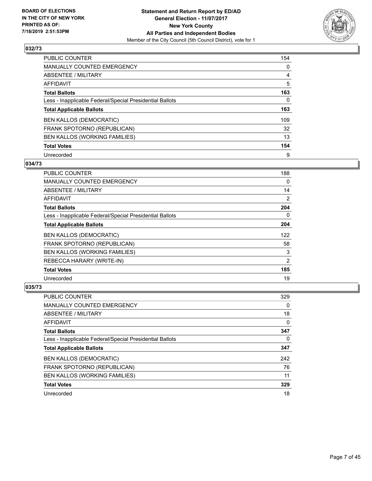

| <b>PUBLIC COUNTER</b>                                    | 154 |
|----------------------------------------------------------|-----|
| <b>MANUALLY COUNTED EMERGENCY</b>                        | 0   |
| <b>ABSENTEE / MILITARY</b>                               | 4   |
| AFFIDAVIT                                                | 5   |
| <b>Total Ballots</b>                                     | 163 |
| Less - Inapplicable Federal/Special Presidential Ballots | 0   |
| <b>Total Applicable Ballots</b>                          | 163 |
| <b>BEN KALLOS (DEMOCRATIC)</b>                           | 109 |
| FRANK SPOTORNO (REPUBLICAN)                              | 32  |
| BEN KALLOS (WORKING FAMILIES)                            | 13  |
| <b>Total Votes</b>                                       | 154 |
| Unrecorded                                               | 9   |

#### **034/73**

| PUBLIC COUNTER                                           | 188      |
|----------------------------------------------------------|----------|
| <b>MANUALLY COUNTED EMERGENCY</b>                        | $\Omega$ |
| ABSENTEE / MILITARY                                      | 14       |
| AFFIDAVIT                                                | 2        |
| <b>Total Ballots</b>                                     | 204      |
| Less - Inapplicable Federal/Special Presidential Ballots | $\Omega$ |
| <b>Total Applicable Ballots</b>                          | 204      |
| <b>BEN KALLOS (DEMOCRATIC)</b>                           | 122      |
| FRANK SPOTORNO (REPUBLICAN)                              | 58       |
| BEN KALLOS (WORKING FAMILIES)                            | 3        |
| REBECCA HARARY (WRITE-IN)                                | 2        |
| <b>Total Votes</b>                                       | 185      |
| Unrecorded                                               | 19       |

| PUBLIC COUNTER                                           | 329 |
|----------------------------------------------------------|-----|
| <b>MANUALLY COUNTED EMERGENCY</b>                        | 0   |
| ABSENTEE / MILITARY                                      | 18  |
| AFFIDAVIT                                                | 0   |
| <b>Total Ballots</b>                                     | 347 |
| Less - Inapplicable Federal/Special Presidential Ballots | 0   |
| <b>Total Applicable Ballots</b>                          | 347 |
| <b>BEN KALLOS (DEMOCRATIC)</b>                           | 242 |
| FRANK SPOTORNO (REPUBLICAN)                              | 76  |
| BEN KALLOS (WORKING FAMILIES)                            | 11  |
| <b>Total Votes</b>                                       | 329 |
| Unrecorded                                               | 18  |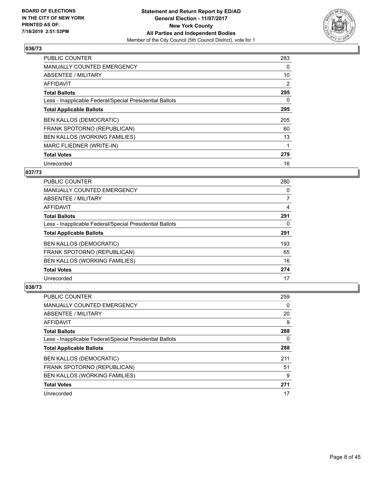

| <b>PUBLIC COUNTER</b>                                    | 283            |
|----------------------------------------------------------|----------------|
| MANUALLY COUNTED EMERGENCY                               | 0              |
| ABSENTEE / MILITARY                                      | 10             |
| <b>AFFIDAVIT</b>                                         | $\overline{2}$ |
| <b>Total Ballots</b>                                     | 295            |
| Less - Inapplicable Federal/Special Presidential Ballots | 0              |
| <b>Total Applicable Ballots</b>                          | 295            |
| <b>BEN KALLOS (DEMOCRATIC)</b>                           | 205            |
| FRANK SPOTORNO (REPUBLICAN)                              | 60             |
| <b>BEN KALLOS (WORKING FAMILIES)</b>                     | 13             |
| MARC FLIEDNER (WRITE-IN)                                 |                |
| <b>Total Votes</b>                                       | 279            |
| Unrecorded                                               | 16             |

## **037/73**

| <b>PUBLIC COUNTER</b>                                    | 280 |
|----------------------------------------------------------|-----|
| <b>MANUALLY COUNTED EMERGENCY</b>                        | 0   |
| ABSENTEE / MILITARY                                      | 7   |
| AFFIDAVIT                                                | 4   |
| <b>Total Ballots</b>                                     | 291 |
| Less - Inapplicable Federal/Special Presidential Ballots | 0   |
| <b>Total Applicable Ballots</b>                          | 291 |
| <b>BEN KALLOS (DEMOCRATIC)</b>                           | 193 |
| <b>FRANK SPOTORNO (REPUBLICAN)</b>                       | 65  |
| BEN KALLOS (WORKING FAMILIES)                            | 16  |
| <b>Total Votes</b>                                       | 274 |
| Unrecorded                                               | 17  |

| <b>PUBLIC COUNTER</b>                                    | 259 |
|----------------------------------------------------------|-----|
| <b>MANUALLY COUNTED EMERGENCY</b>                        | 0   |
| ABSENTEE / MILITARY                                      | 20  |
| AFFIDAVIT                                                | 9   |
| <b>Total Ballots</b>                                     | 288 |
| Less - Inapplicable Federal/Special Presidential Ballots | 0   |
| <b>Total Applicable Ballots</b>                          | 288 |
| <b>BEN KALLOS (DEMOCRATIC)</b>                           | 211 |
| FRANK SPOTORNO (REPUBLICAN)                              | 51  |
| BEN KALLOS (WORKING FAMILIES)                            | 9   |
| <b>Total Votes</b>                                       | 271 |
| Unrecorded                                               | 17  |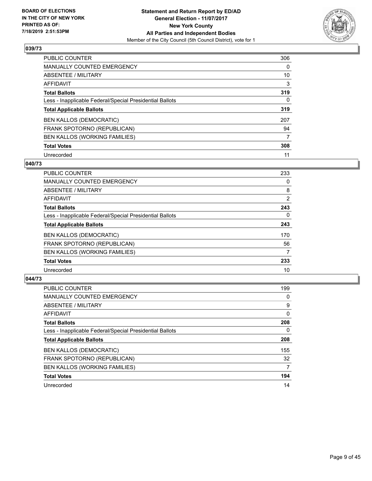

| <b>PUBLIC COUNTER</b>                                    | 306      |
|----------------------------------------------------------|----------|
| <b>MANUALLY COUNTED EMERGENCY</b>                        | 0        |
| ABSENTEE / MILITARY                                      | 10       |
| <b>AFFIDAVIT</b>                                         | 3        |
| <b>Total Ballots</b>                                     | 319      |
| Less - Inapplicable Federal/Special Presidential Ballots | $\Omega$ |
| <b>Total Applicable Ballots</b>                          | 319      |
| <b>BEN KALLOS (DEMOCRATIC)</b>                           | 207      |
| FRANK SPOTORNO (REPUBLICAN)                              | 94       |
| BEN KALLOS (WORKING FAMILIES)                            | 7        |
| <b>Total Votes</b>                                       | 308      |
| Unrecorded                                               | 11       |

#### **040/73**

| <b>PUBLIC COUNTER</b>                                    | 233      |
|----------------------------------------------------------|----------|
| <b>MANUALLY COUNTED EMERGENCY</b>                        | 0        |
| ABSENTEE / MILITARY                                      | 8        |
| <b>AFFIDAVIT</b>                                         | 2        |
| <b>Total Ballots</b>                                     | 243      |
| Less - Inapplicable Federal/Special Presidential Ballots | $\Omega$ |
| <b>Total Applicable Ballots</b>                          | 243      |
| <b>BEN KALLOS (DEMOCRATIC)</b>                           | 170      |
| FRANK SPOTORNO (REPUBLICAN)                              | 56       |
| <b>BEN KALLOS (WORKING FAMILIES)</b>                     | 7        |
| <b>Total Votes</b>                                       | 233      |
| Unrecorded                                               | 10       |

| <b>PUBLIC COUNTER</b>                                    | 199      |
|----------------------------------------------------------|----------|
| <b>MANUALLY COUNTED EMERGENCY</b>                        | 0        |
| ABSENTEE / MILITARY                                      | 9        |
| AFFIDAVIT                                                | $\Omega$ |
| <b>Total Ballots</b>                                     | 208      |
| Less - Inapplicable Federal/Special Presidential Ballots | 0        |
| <b>Total Applicable Ballots</b>                          | 208      |
| <b>BEN KALLOS (DEMOCRATIC)</b>                           | 155      |
| FRANK SPOTORNO (REPUBLICAN)                              | 32       |
| BEN KALLOS (WORKING FAMILIES)                            | 7        |
| <b>Total Votes</b>                                       | 194      |
| Unrecorded                                               | 14       |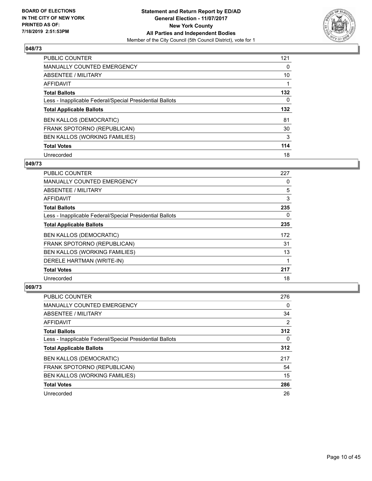

| PUBLIC COUNTER                                           | 121      |
|----------------------------------------------------------|----------|
| MANUALLY COUNTED EMERGENCY                               | 0        |
| ABSENTEE / MILITARY                                      | 10       |
| AFFIDAVIT                                                |          |
| <b>Total Ballots</b>                                     | 132      |
| Less - Inapplicable Federal/Special Presidential Ballots | $\Omega$ |
| <b>Total Applicable Ballots</b>                          | 132      |
| <b>BEN KALLOS (DEMOCRATIC)</b>                           | 81       |
| FRANK SPOTORNO (REPUBLICAN)                              | 30       |
| BEN KALLOS (WORKING FAMILIES)                            | 3        |
| <b>Total Votes</b>                                       | 114      |
| Unrecorded                                               | 18       |

#### **049/73**

| <b>PUBLIC COUNTER</b>                                    | 227 |
|----------------------------------------------------------|-----|
| MANUALLY COUNTED EMERGENCY                               | 0   |
| ABSENTEE / MILITARY                                      | 5   |
| AFFIDAVIT                                                | 3   |
| <b>Total Ballots</b>                                     | 235 |
| Less - Inapplicable Federal/Special Presidential Ballots | 0   |
| <b>Total Applicable Ballots</b>                          | 235 |
| <b>BEN KALLOS (DEMOCRATIC)</b>                           | 172 |
| FRANK SPOTORNO (REPUBLICAN)                              | 31  |
| BEN KALLOS (WORKING FAMILIES)                            | 13  |
| DERELE HARTMAN (WRITE-IN)                                |     |
| <b>Total Votes</b>                                       | 217 |
| Unrecorded                                               | 18  |

| PUBLIC COUNTER                                           | 276 |
|----------------------------------------------------------|-----|
| <b>MANUALLY COUNTED EMERGENCY</b>                        | 0   |
| ABSENTEE / MILITARY                                      | 34  |
| AFFIDAVIT                                                | 2   |
| <b>Total Ballots</b>                                     | 312 |
| Less - Inapplicable Federal/Special Presidential Ballots | 0   |
| <b>Total Applicable Ballots</b>                          | 312 |
| <b>BEN KALLOS (DEMOCRATIC)</b>                           | 217 |
| FRANK SPOTORNO (REPUBLICAN)                              | 54  |
| BEN KALLOS (WORKING FAMILIES)                            | 15  |
| <b>Total Votes</b>                                       | 286 |
| Unrecorded                                               | 26  |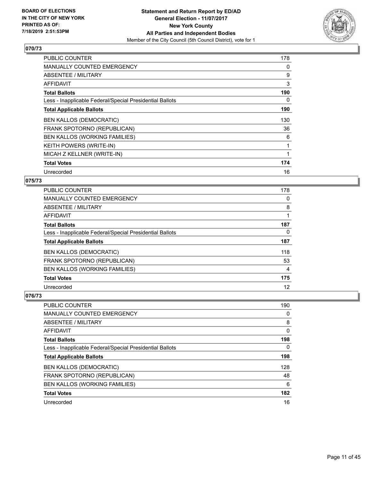

| <b>PUBLIC COUNTER</b>                                    | 178 |
|----------------------------------------------------------|-----|
| <b>MANUALLY COUNTED EMERGENCY</b>                        | 0   |
| ABSENTEE / MILITARY                                      | 9   |
| AFFIDAVIT                                                | 3   |
| <b>Total Ballots</b>                                     | 190 |
| Less - Inapplicable Federal/Special Presidential Ballots | 0   |
| <b>Total Applicable Ballots</b>                          | 190 |
| <b>BEN KALLOS (DEMOCRATIC)</b>                           | 130 |
| FRANK SPOTORNO (REPUBLICAN)                              | 36  |
| <b>BEN KALLOS (WORKING FAMILIES)</b>                     | 6   |
| <b>KEITH POWERS (WRITE-IN)</b>                           | 1   |
| MICAH Z KELLNER (WRITE-IN)                               |     |
| <b>Total Votes</b>                                       | 174 |
| Unrecorded                                               | 16  |

## **075/73**

| <b>PUBLIC COUNTER</b>                                    | 178 |
|----------------------------------------------------------|-----|
| <b>MANUALLY COUNTED EMERGENCY</b>                        | 0   |
| ABSENTEE / MILITARY                                      | 8   |
| <b>AFFIDAVIT</b>                                         |     |
| <b>Total Ballots</b>                                     | 187 |
| Less - Inapplicable Federal/Special Presidential Ballots | 0   |
| <b>Total Applicable Ballots</b>                          | 187 |
| <b>BEN KALLOS (DEMOCRATIC)</b>                           | 118 |
| FRANK SPOTORNO (REPUBLICAN)                              | 53  |
| BEN KALLOS (WORKING FAMILIES)                            | 4   |
| <b>Total Votes</b>                                       | 175 |
| Unrecorded                                               | 12  |

| PUBLIC COUNTER                                           | 190 |
|----------------------------------------------------------|-----|
| <b>MANUALLY COUNTED EMERGENCY</b>                        | 0   |
| ABSENTEE / MILITARY                                      | 8   |
| AFFIDAVIT                                                | 0   |
| <b>Total Ballots</b>                                     | 198 |
| Less - Inapplicable Federal/Special Presidential Ballots | 0   |
| <b>Total Applicable Ballots</b>                          | 198 |
| <b>BEN KALLOS (DEMOCRATIC)</b>                           | 128 |
| FRANK SPOTORNO (REPUBLICAN)                              | 48  |
| <b>BEN KALLOS (WORKING FAMILIES)</b>                     | 6   |
| <b>Total Votes</b>                                       | 182 |
| Unrecorded                                               | 16  |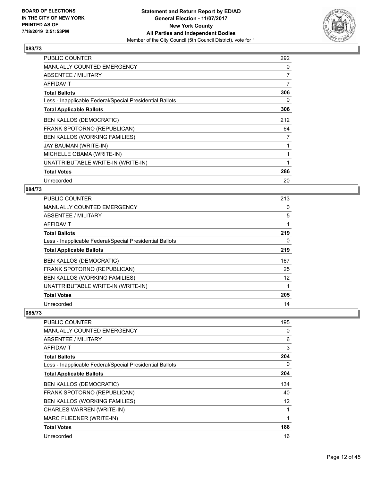

| <b>PUBLIC COUNTER</b>                                    | 292            |
|----------------------------------------------------------|----------------|
| <b>MANUALLY COUNTED EMERGENCY</b>                        | 0              |
| ABSENTEE / MILITARY                                      | $\overline{7}$ |
| <b>AFFIDAVIT</b>                                         | 7              |
| <b>Total Ballots</b>                                     | 306            |
| Less - Inapplicable Federal/Special Presidential Ballots | 0              |
| <b>Total Applicable Ballots</b>                          | 306            |
| <b>BEN KALLOS (DEMOCRATIC)</b>                           | 212            |
| FRANK SPOTORNO (REPUBLICAN)                              | 64             |
| BEN KALLOS (WORKING FAMILIES)                            | 7              |
| JAY BAUMAN (WRITE-IN)                                    | 1              |
| MICHELLE OBAMA (WRITE-IN)                                |                |
| UNATTRIBUTABLE WRITE-IN (WRITE-IN)                       | 1              |
| <b>Total Votes</b>                                       | 286            |
| Unrecorded                                               | 20             |

## **084/73**

| <b>PUBLIC COUNTER</b>                                    | 213               |
|----------------------------------------------------------|-------------------|
| MANUALLY COUNTED EMERGENCY                               | 0                 |
| <b>ABSENTEE / MILITARY</b>                               | 5                 |
| AFFIDAVIT                                                |                   |
| <b>Total Ballots</b>                                     | 219               |
| Less - Inapplicable Federal/Special Presidential Ballots | 0                 |
| <b>Total Applicable Ballots</b>                          | 219               |
| <b>BEN KALLOS (DEMOCRATIC)</b>                           | 167               |
| FRANK SPOTORNO (REPUBLICAN)                              | 25                |
| BEN KALLOS (WORKING FAMILIES)                            | $12 \overline{ }$ |
| UNATTRIBUTABLE WRITE-IN (WRITE-IN)                       | 1                 |
| <b>Total Votes</b>                                       | 205               |
| Unrecorded                                               | 14                |

| <b>PUBLIC COUNTER</b>                                    | 195 |
|----------------------------------------------------------|-----|
| <b>MANUALLY COUNTED EMERGENCY</b>                        | 0   |
| ABSENTEE / MILITARY                                      | 6   |
| <b>AFFIDAVIT</b>                                         | 3   |
| <b>Total Ballots</b>                                     | 204 |
| Less - Inapplicable Federal/Special Presidential Ballots | 0   |
| <b>Total Applicable Ballots</b>                          | 204 |
| <b>BEN KALLOS (DEMOCRATIC)</b>                           | 134 |
| FRANK SPOTORNO (REPUBLICAN)                              | 40  |
| BEN KALLOS (WORKING FAMILIES)                            | 12  |
| CHARLES WARREN (WRITE-IN)                                |     |
| MARC FLIEDNER (WRITE-IN)                                 | 1   |
| <b>Total Votes</b>                                       | 188 |
| Unrecorded                                               | 16  |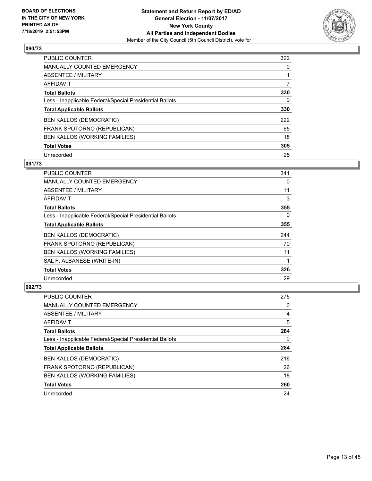

| PUBLIC COUNTER                                           | 322      |
|----------------------------------------------------------|----------|
| <b>MANUALLY COUNTED EMERGENCY</b>                        | $\Omega$ |
| ABSENTEE / MILITARY                                      |          |
| AFFIDAVIT                                                | 7        |
| <b>Total Ballots</b>                                     | 330      |
| Less - Inapplicable Federal/Special Presidential Ballots | 0        |
| <b>Total Applicable Ballots</b>                          | 330      |
| <b>BEN KALLOS (DEMOCRATIC)</b>                           | 222      |
| FRANK SPOTORNO (REPUBLICAN)                              | 65       |
| BEN KALLOS (WORKING FAMILIES)                            | 18       |
| <b>Total Votes</b>                                       | 305      |
| Unrecorded                                               | 25       |

# **091/73**

| <b>PUBLIC COUNTER</b>                                    | 341 |
|----------------------------------------------------------|-----|
| <b>MANUALLY COUNTED EMERGENCY</b>                        | 0   |
| ABSENTEE / MILITARY                                      | 11  |
| <b>AFFIDAVIT</b>                                         | 3   |
| <b>Total Ballots</b>                                     | 355 |
| Less - Inapplicable Federal/Special Presidential Ballots | 0   |
| <b>Total Applicable Ballots</b>                          | 355 |
| <b>BEN KALLOS (DEMOCRATIC)</b>                           | 244 |
| FRANK SPOTORNO (REPUBLICAN)                              | 70  |
| <b>BEN KALLOS (WORKING FAMILIES)</b>                     | 11  |
| SAL F. ALBANESE (WRITE-IN)                               |     |
| <b>Total Votes</b>                                       | 326 |
| Unrecorded                                               | 29  |

| PUBLIC COUNTER                                           | 275 |
|----------------------------------------------------------|-----|
| <b>MANUALLY COUNTED EMERGENCY</b>                        | 0   |
| ABSENTEE / MILITARY                                      | 4   |
| AFFIDAVIT                                                | 5   |
| <b>Total Ballots</b>                                     | 284 |
| Less - Inapplicable Federal/Special Presidential Ballots | 0   |
| <b>Total Applicable Ballots</b>                          | 284 |
| <b>BEN KALLOS (DEMOCRATIC)</b>                           | 216 |
| FRANK SPOTORNO (REPUBLICAN)                              | 26  |
| BEN KALLOS (WORKING FAMILIES)                            | 18  |
| <b>Total Votes</b>                                       | 260 |
| Unrecorded                                               | 24  |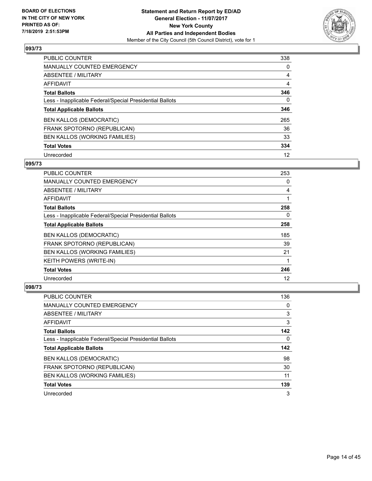

| <b>PUBLIC COUNTER</b>                                    | 338      |
|----------------------------------------------------------|----------|
| <b>MANUALLY COUNTED EMERGENCY</b>                        | 0        |
| ABSENTEE / MILITARY                                      | 4        |
| <b>AFFIDAVIT</b>                                         | 4        |
| <b>Total Ballots</b>                                     | 346      |
| Less - Inapplicable Federal/Special Presidential Ballots | $\Omega$ |
| <b>Total Applicable Ballots</b>                          | 346      |
| <b>BEN KALLOS (DEMOCRATIC)</b>                           | 265      |
| FRANK SPOTORNO (REPUBLICAN)                              | 36       |
| BEN KALLOS (WORKING FAMILIES)                            | 33       |
| <b>Total Votes</b>                                       | 334      |
| Unrecorded                                               | 12       |

#### **095/73**

| <b>PUBLIC COUNTER</b>                                    | 253      |
|----------------------------------------------------------|----------|
| <b>MANUALLY COUNTED EMERGENCY</b>                        | $\Omega$ |
| ABSENTEE / MILITARY                                      | 4        |
| <b>AFFIDAVIT</b>                                         |          |
| <b>Total Ballots</b>                                     | 258      |
| Less - Inapplicable Federal/Special Presidential Ballots | 0        |
| <b>Total Applicable Ballots</b>                          | 258      |
| <b>BEN KALLOS (DEMOCRATIC)</b>                           | 185      |
| FRANK SPOTORNO (REPUBLICAN)                              | 39       |
| BEN KALLOS (WORKING FAMILIES)                            | 21       |
| <b>KEITH POWERS (WRITE-IN)</b>                           |          |
| <b>Total Votes</b>                                       | 246      |
| Unrecorded                                               | 12       |

| PUBLIC COUNTER                                           | 136      |
|----------------------------------------------------------|----------|
| <b>MANUALLY COUNTED EMERGENCY</b>                        | 0        |
| ABSENTEE / MILITARY                                      | 3        |
| AFFIDAVIT                                                | 3        |
| <b>Total Ballots</b>                                     | 142      |
| Less - Inapplicable Federal/Special Presidential Ballots | $\Omega$ |
| <b>Total Applicable Ballots</b>                          | 142      |
|                                                          |          |
| <b>BEN KALLOS (DEMOCRATIC)</b>                           | 98       |
| FRANK SPOTORNO (REPUBLICAN)                              | 30       |
| BEN KALLOS (WORKING FAMILIES)                            | 11       |
| <b>Total Votes</b>                                       | 139      |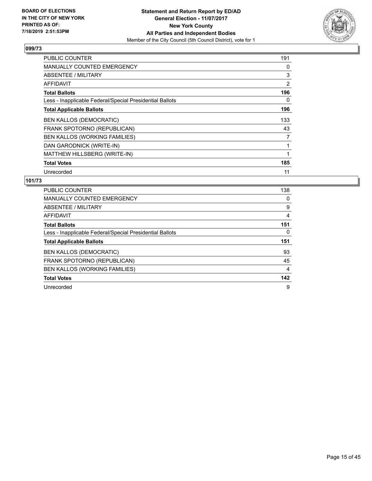

| <b>PUBLIC COUNTER</b>                                    | 191 |
|----------------------------------------------------------|-----|
| <b>MANUALLY COUNTED EMERGENCY</b>                        | 0   |
| ABSENTEE / MILITARY                                      | 3   |
| AFFIDAVIT                                                | 2   |
| <b>Total Ballots</b>                                     | 196 |
| Less - Inapplicable Federal/Special Presidential Ballots | 0   |
| <b>Total Applicable Ballots</b>                          | 196 |
| <b>BEN KALLOS (DEMOCRATIC)</b>                           | 133 |
| FRANK SPOTORNO (REPUBLICAN)                              | 43  |
| BEN KALLOS (WORKING FAMILIES)                            | 7   |
| DAN GARODNICK (WRITE-IN)                                 |     |
| MATTHEW HILLSBERG (WRITE-IN)                             |     |
| <b>Total Votes</b>                                       | 185 |
| Unrecorded                                               | 11  |

| PUBLIC COUNTER                                           | 138 |
|----------------------------------------------------------|-----|
| <b>MANUALLY COUNTED EMERGENCY</b>                        | 0   |
| ABSENTEE / MILITARY                                      | 9   |
| <b>AFFIDAVIT</b>                                         | 4   |
| <b>Total Ballots</b>                                     | 151 |
| Less - Inapplicable Federal/Special Presidential Ballots | 0   |
| <b>Total Applicable Ballots</b>                          | 151 |
|                                                          |     |
| <b>BEN KALLOS (DEMOCRATIC)</b>                           | 93  |
| FRANK SPOTORNO (REPUBLICAN)                              | 45  |
| BEN KALLOS (WORKING FAMILIES)                            | 4   |
| <b>Total Votes</b>                                       | 142 |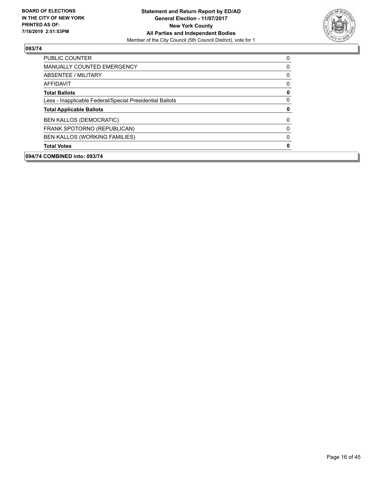

| 094/74 COMBINED into: 093/74                             |              |
|----------------------------------------------------------|--------------|
| <b>Total Votes</b>                                       | 0            |
| BEN KALLOS (WORKING FAMILIES)                            | $\Omega$     |
| FRANK SPOTORNO (REPUBLICAN)                              | $\Omega$     |
| <b>BEN KALLOS (DEMOCRATIC)</b>                           | $\mathbf{0}$ |
| <b>Total Applicable Ballots</b>                          | 0            |
| Less - Inapplicable Federal/Special Presidential Ballots | 0            |
| <b>Total Ballots</b>                                     | 0            |
| AFFIDAVIT                                                | 0            |
| ABSENTEE / MILITARY                                      | 0            |
| <b>MANUALLY COUNTED EMERGENCY</b>                        | 0            |
| <b>PUBLIC COUNTER</b>                                    | 0            |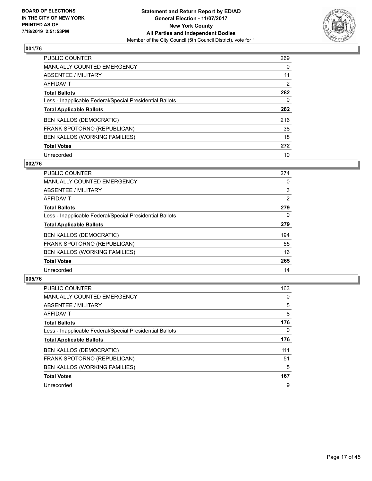

| PUBLIC COUNTER                                           | 269 |
|----------------------------------------------------------|-----|
| <b>MANUALLY COUNTED EMERGENCY</b>                        | 0   |
| ABSENTEE / MILITARY                                      | 11  |
| AFFIDAVIT                                                | 2   |
| <b>Total Ballots</b>                                     | 282 |
| Less - Inapplicable Federal/Special Presidential Ballots | 0   |
| <b>Total Applicable Ballots</b>                          | 282 |
| <b>BEN KALLOS (DEMOCRATIC)</b>                           | 216 |
| FRANK SPOTORNO (REPUBLICAN)                              | 38  |
| BEN KALLOS (WORKING FAMILIES)                            | 18  |
| <b>Total Votes</b>                                       | 272 |
| Unrecorded                                               | 10  |

#### **002/76**

| <b>PUBLIC COUNTER</b>                                    | 274      |
|----------------------------------------------------------|----------|
| <b>MANUALLY COUNTED EMERGENCY</b>                        | 0        |
| ABSENTEE / MILITARY                                      | 3        |
| <b>AFFIDAVIT</b>                                         | 2        |
| <b>Total Ballots</b>                                     | 279      |
| Less - Inapplicable Federal/Special Presidential Ballots | $\Omega$ |
| <b>Total Applicable Ballots</b>                          | 279      |
| <b>BEN KALLOS (DEMOCRATIC)</b>                           | 194      |
| FRANK SPOTORNO (REPUBLICAN)                              | 55       |
| BEN KALLOS (WORKING FAMILIES)                            | 16       |
| <b>Total Votes</b>                                       | 265      |
| Unrecorded                                               | 14       |

| <b>PUBLIC COUNTER</b>                                    | 163 |
|----------------------------------------------------------|-----|
| <b>MANUALLY COUNTED EMERGENCY</b>                        | 0   |
| ABSENTEE / MILITARY                                      | 5   |
| <b>AFFIDAVIT</b>                                         | 8   |
| <b>Total Ballots</b>                                     | 176 |
| Less - Inapplicable Federal/Special Presidential Ballots | 0   |
| <b>Total Applicable Ballots</b>                          | 176 |
| <b>BEN KALLOS (DEMOCRATIC)</b>                           | 111 |
| FRANK SPOTORNO (REPUBLICAN)                              | 51  |
| BEN KALLOS (WORKING FAMILIES)                            | 5   |
| <b>Total Votes</b>                                       | 167 |
| Unrecorded                                               | 9   |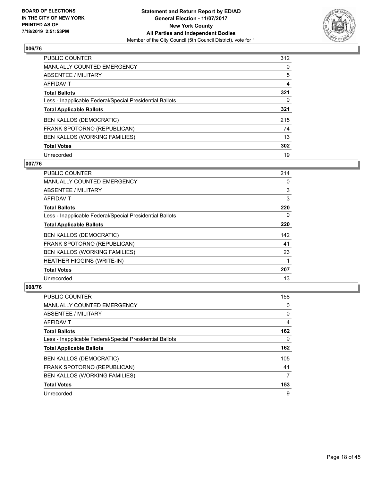

| <b>PUBLIC COUNTER</b>                                    | 312      |
|----------------------------------------------------------|----------|
| MANUALLY COUNTED EMERGENCY                               | $\Omega$ |
| ABSENTEE / MILITARY                                      | 5        |
| AFFIDAVIT                                                | 4        |
| <b>Total Ballots</b>                                     | 321      |
| Less - Inapplicable Federal/Special Presidential Ballots | 0        |
| <b>Total Applicable Ballots</b>                          | 321      |
| <b>BEN KALLOS (DEMOCRATIC)</b>                           | 215      |
| FRANK SPOTORNO (REPUBLICAN)                              | 74       |
| BEN KALLOS (WORKING FAMILIES)                            | 13       |
| <b>Total Votes</b>                                       | 302      |
| Unrecorded                                               | 19       |

#### **007/76**

| PUBLIC COUNTER                                           | 214      |
|----------------------------------------------------------|----------|
| <b>MANUALLY COUNTED EMERGENCY</b>                        | $\Omega$ |
| ABSENTEE / MILITARY                                      | 3        |
| AFFIDAVIT                                                | 3        |
| <b>Total Ballots</b>                                     | 220      |
| Less - Inapplicable Federal/Special Presidential Ballots | 0        |
| <b>Total Applicable Ballots</b>                          | 220      |
| <b>BEN KALLOS (DEMOCRATIC)</b>                           | 142      |
| FRANK SPOTORNO (REPUBLICAN)                              | 41       |
| BEN KALLOS (WORKING FAMILIES)                            | 23       |
| <b>HEATHER HIGGINS (WRITE-IN)</b>                        |          |
| <b>Total Votes</b>                                       | 207      |
| Unrecorded                                               | 13       |

| PUBLIC COUNTER                                           | 158 |
|----------------------------------------------------------|-----|
| <b>MANUALLY COUNTED EMERGENCY</b>                        | 0   |
| ABSENTEE / MILITARY                                      | 0   |
| AFFIDAVIT                                                | 4   |
| <b>Total Ballots</b>                                     | 162 |
| Less - Inapplicable Federal/Special Presidential Ballots | 0   |
| <b>Total Applicable Ballots</b>                          | 162 |
| <b>BEN KALLOS (DEMOCRATIC)</b>                           | 105 |
| FRANK SPOTORNO (REPUBLICAN)                              | 41  |
| BEN KALLOS (WORKING FAMILIES)                            | 7   |
| <b>Total Votes</b>                                       | 153 |
| Unrecorded                                               | 9   |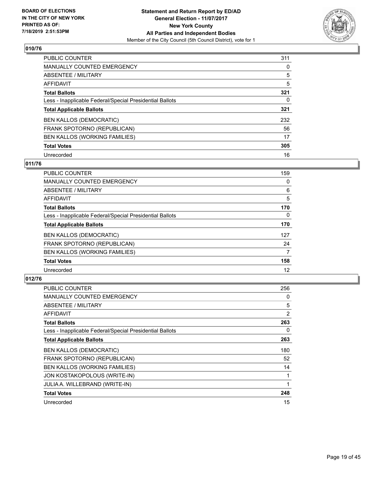

| PUBLIC COUNTER                                           | 311      |
|----------------------------------------------------------|----------|
| MANUALLY COUNTED EMERGENCY                               | $\Omega$ |
| ABSENTEE / MILITARY                                      | 5        |
| AFFIDAVIT                                                | 5        |
| <b>Total Ballots</b>                                     | 321      |
| Less - Inapplicable Federal/Special Presidential Ballots | 0        |
| <b>Total Applicable Ballots</b>                          | 321      |
| <b>BEN KALLOS (DEMOCRATIC)</b>                           | 232      |
| FRANK SPOTORNO (REPUBLICAN)                              | 56       |
| BEN KALLOS (WORKING FAMILIES)                            | 17       |
| <b>Total Votes</b>                                       | 305      |
| Unrecorded                                               | 16       |

#### **011/76**

| <b>PUBLIC COUNTER</b>                                    | 159      |
|----------------------------------------------------------|----------|
| <b>MANUALLY COUNTED EMERGENCY</b>                        | 0        |
| ABSENTEE / MILITARY                                      | 6        |
| <b>AFFIDAVIT</b>                                         | 5        |
| <b>Total Ballots</b>                                     | 170      |
| Less - Inapplicable Federal/Special Presidential Ballots | $\Omega$ |
| <b>Total Applicable Ballots</b>                          | 170      |
| <b>BEN KALLOS (DEMOCRATIC)</b>                           | 127      |
| FRANK SPOTORNO (REPUBLICAN)                              | 24       |
| BEN KALLOS (WORKING FAMILIES)                            | 7        |
| <b>Total Votes</b>                                       | 158      |
| Unrecorded                                               | 12       |

| <b>PUBLIC COUNTER</b>                                    | 256 |
|----------------------------------------------------------|-----|
| <b>MANUALLY COUNTED EMERGENCY</b>                        | 0   |
| ABSENTEE / MILITARY                                      | 5   |
| AFFIDAVIT                                                | 2   |
| <b>Total Ballots</b>                                     | 263 |
| Less - Inapplicable Federal/Special Presidential Ballots | 0   |
| <b>Total Applicable Ballots</b>                          | 263 |
| <b>BEN KALLOS (DEMOCRATIC)</b>                           | 180 |
| FRANK SPOTORNO (REPUBLICAN)                              | 52  |
| <b>BEN KALLOS (WORKING FAMILIES)</b>                     | 14  |
| JON KOSTAKOPOLOUS (WRITE-IN)                             | 1   |
| JULIA A. WILLEBRAND (WRITE-IN)                           | 1   |
| <b>Total Votes</b>                                       | 248 |
| Unrecorded                                               | 15  |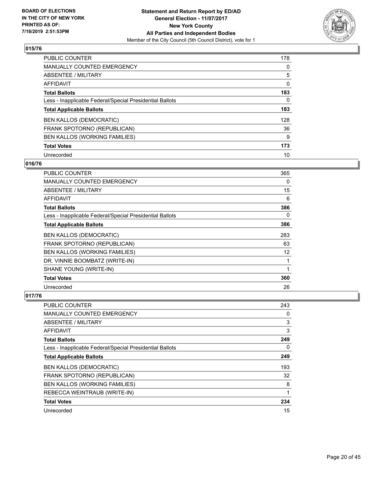

| PUBLIC COUNTER                                           | 178      |
|----------------------------------------------------------|----------|
| MANUALLY COUNTED EMERGENCY                               | $\Omega$ |
| ABSENTEE / MILITARY                                      | 5        |
| AFFIDAVIT                                                | 0        |
| <b>Total Ballots</b>                                     | 183      |
| Less - Inapplicable Federal/Special Presidential Ballots | 0        |
| <b>Total Applicable Ballots</b>                          | 183      |
| <b>BEN KALLOS (DEMOCRATIC)</b>                           | 128      |
| FRANK SPOTORNO (REPUBLICAN)                              | 36       |
| BEN KALLOS (WORKING FAMILIES)                            | 9        |
| <b>Total Votes</b>                                       | 173      |
| Unrecorded                                               | 10       |

# **016/76**

| <b>PUBLIC COUNTER</b>                                    | 365 |
|----------------------------------------------------------|-----|
| MANUALLY COUNTED EMERGENCY                               | 0   |
| ABSENTEE / MILITARY                                      | 15  |
| <b>AFFIDAVIT</b>                                         | 6   |
| <b>Total Ballots</b>                                     | 386 |
| Less - Inapplicable Federal/Special Presidential Ballots | 0   |
| <b>Total Applicable Ballots</b>                          | 386 |
| <b>BEN KALLOS (DEMOCRATIC)</b>                           | 283 |
| FRANK SPOTORNO (REPUBLICAN)                              | 63  |
| BEN KALLOS (WORKING FAMILIES)                            | 12  |
| DR. VINNIE BOOMBATZ (WRITE-IN)                           | 1   |
| SHANE YOUNG (WRITE-IN)                                   | 1   |
| <b>Total Votes</b>                                       | 360 |
| Unrecorded                                               | 26  |

| <b>PUBLIC COUNTER</b>                                    | 243 |
|----------------------------------------------------------|-----|
| <b>MANUALLY COUNTED EMERGENCY</b>                        | 0   |
| ABSENTEE / MILITARY                                      | 3   |
| AFFIDAVIT                                                | 3   |
| <b>Total Ballots</b>                                     | 249 |
| Less - Inapplicable Federal/Special Presidential Ballots | 0   |
| <b>Total Applicable Ballots</b>                          | 249 |
| <b>BEN KALLOS (DEMOCRATIC)</b>                           | 193 |
| FRANK SPOTORNO (REPUBLICAN)                              | 32  |
| BEN KALLOS (WORKING FAMILIES)                            | 8   |
| REBECCA WEINTRAUB (WRITE-IN)                             | 1   |
| <b>Total Votes</b>                                       | 234 |
| Unrecorded                                               | 15  |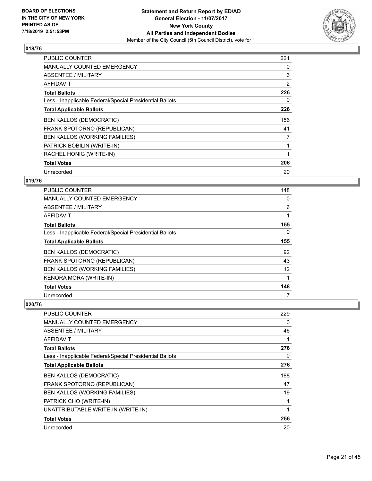

| <b>PUBLIC COUNTER</b>                                    | 221 |
|----------------------------------------------------------|-----|
| <b>MANUALLY COUNTED EMERGENCY</b>                        | 0   |
| ABSENTEE / MILITARY                                      | 3   |
| AFFIDAVIT                                                | 2   |
| <b>Total Ballots</b>                                     | 226 |
| Less - Inapplicable Federal/Special Presidential Ballots | 0   |
| <b>Total Applicable Ballots</b>                          | 226 |
| <b>BEN KALLOS (DEMOCRATIC)</b>                           | 156 |
| FRANK SPOTORNO (REPUBLICAN)                              | 41  |
| BEN KALLOS (WORKING FAMILIES)                            | 7   |
| PATRICK BOBILIN (WRITE-IN)                               |     |
| RACHEL HONIG (WRITE-IN)                                  |     |
| <b>Total Votes</b>                                       | 206 |
| Unrecorded                                               | 20  |

## **019/76**

| PUBLIC COUNTER                                           | 148      |
|----------------------------------------------------------|----------|
| MANUALLY COUNTED EMERGENCY                               | 0        |
| ABSENTEE / MILITARY                                      | 6        |
| AFFIDAVIT                                                |          |
| <b>Total Ballots</b>                                     | 155      |
| Less - Inapplicable Federal/Special Presidential Ballots | $\Omega$ |
| <b>Total Applicable Ballots</b>                          | 155      |
| <b>BEN KALLOS (DEMOCRATIC)</b>                           | 92       |
| FRANK SPOTORNO (REPUBLICAN)                              | 43       |
| BEN KALLOS (WORKING FAMILIES)                            | 12       |
| KENORA MORA (WRITE-IN)                                   |          |
| <b>Total Votes</b>                                       | 148      |
| Unrecorded                                               | 7        |

| PUBLIC COUNTER                                           | 229 |
|----------------------------------------------------------|-----|
| MANUALLY COUNTED EMERGENCY                               | 0   |
| ABSENTEE / MILITARY                                      | 46  |
| <b>AFFIDAVIT</b>                                         |     |
| <b>Total Ballots</b>                                     | 276 |
| Less - Inapplicable Federal/Special Presidential Ballots | 0   |
| <b>Total Applicable Ballots</b>                          | 276 |
| <b>BEN KALLOS (DEMOCRATIC)</b>                           | 188 |
| FRANK SPOTORNO (REPUBLICAN)                              | 47  |
| BEN KALLOS (WORKING FAMILIES)                            | 19  |
| PATRICK CHO (WRITE-IN)                                   |     |
| UNATTRIBUTABLE WRITE-IN (WRITE-IN)                       |     |
| <b>Total Votes</b>                                       | 256 |
| Unrecorded                                               | 20  |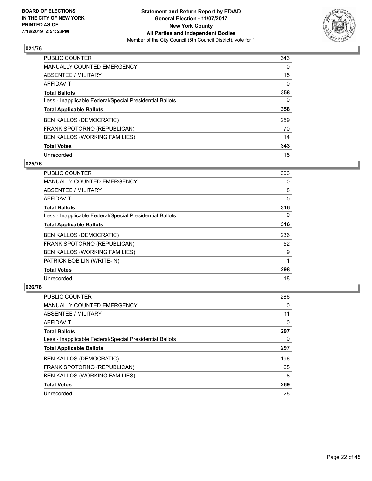![](_page_21_Picture_2.jpeg)

| PUBLIC COUNTER                                           | 343      |
|----------------------------------------------------------|----------|
| <b>MANUALLY COUNTED EMERGENCY</b>                        | $\Omega$ |
| ABSENTEE / MILITARY                                      | 15       |
| AFFIDAVIT                                                | $\Omega$ |
| <b>Total Ballots</b>                                     | 358      |
| Less - Inapplicable Federal/Special Presidential Ballots | 0        |
| <b>Total Applicable Ballots</b>                          | 358      |
| <b>BEN KALLOS (DEMOCRATIC)</b>                           | 259      |
| FRANK SPOTORNO (REPUBLICAN)                              | 70       |
| BEN KALLOS (WORKING FAMILIES)                            | 14       |
| <b>Total Votes</b>                                       | 343      |
| Unrecorded                                               | 15       |

#### **025/76**

| <b>PUBLIC COUNTER</b>                                    | 303      |
|----------------------------------------------------------|----------|
| <b>MANUALLY COUNTED EMERGENCY</b>                        | 0        |
| ABSENTEE / MILITARY                                      | 8        |
| AFFIDAVIT                                                | 5        |
| <b>Total Ballots</b>                                     | 316      |
| Less - Inapplicable Federal/Special Presidential Ballots | $\Omega$ |
| <b>Total Applicable Ballots</b>                          | 316      |
| <b>BEN KALLOS (DEMOCRATIC)</b>                           | 236      |
| FRANK SPOTORNO (REPUBLICAN)                              | 52       |
| BEN KALLOS (WORKING FAMILIES)                            | 9        |
| PATRICK BOBILIN (WRITE-IN)                               | 1        |
| <b>Total Votes</b>                                       | 298      |
| Unrecorded                                               | 18       |

| PUBLIC COUNTER                                           | 286 |
|----------------------------------------------------------|-----|
| <b>MANUALLY COUNTED EMERGENCY</b>                        | 0   |
| ABSENTEE / MILITARY                                      | 11  |
| AFFIDAVIT                                                | 0   |
| <b>Total Ballots</b>                                     | 297 |
| Less - Inapplicable Federal/Special Presidential Ballots | 0   |
| <b>Total Applicable Ballots</b>                          | 297 |
| <b>BEN KALLOS (DEMOCRATIC)</b>                           | 196 |
| FRANK SPOTORNO (REPUBLICAN)                              | 65  |
| BEN KALLOS (WORKING FAMILIES)                            | 8   |
| <b>Total Votes</b>                                       | 269 |
| Unrecorded                                               | 28  |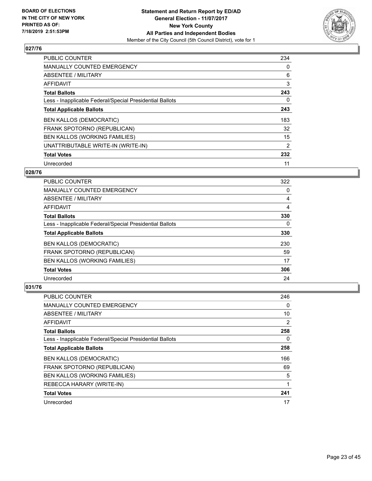![](_page_22_Picture_2.jpeg)

| <b>PUBLIC COUNTER</b>                                    | 234 |
|----------------------------------------------------------|-----|
| MANUALLY COUNTED EMERGENCY                               | 0   |
| ABSENTEE / MILITARY                                      | 6   |
| <b>AFFIDAVIT</b>                                         | 3   |
| <b>Total Ballots</b>                                     | 243 |
| Less - Inapplicable Federal/Special Presidential Ballots | 0   |
| <b>Total Applicable Ballots</b>                          | 243 |
| <b>BEN KALLOS (DEMOCRATIC)</b>                           | 183 |
| FRANK SPOTORNO (REPUBLICAN)                              | 32  |
| BEN KALLOS (WORKING FAMILIES)                            | 15  |
| UNATTRIBUTABLE WRITE-IN (WRITE-IN)                       | 2   |
| <b>Total Votes</b>                                       | 232 |
| Unrecorded                                               | 11  |

## **028/76**

| <b>PUBLIC COUNTER</b>                                    | 322 |
|----------------------------------------------------------|-----|
| <b>MANUALLY COUNTED EMERGENCY</b>                        | 0   |
| ABSENTEE / MILITARY                                      | 4   |
| AFFIDAVIT                                                | 4   |
| <b>Total Ballots</b>                                     | 330 |
| Less - Inapplicable Federal/Special Presidential Ballots | 0   |
| <b>Total Applicable Ballots</b>                          | 330 |
| <b>BEN KALLOS (DEMOCRATIC)</b>                           | 230 |
| FRANK SPOTORNO (REPUBLICAN)                              | 59  |
| BEN KALLOS (WORKING FAMILIES)                            | 17  |
| <b>Total Votes</b>                                       | 306 |
| Unrecorded                                               | 24  |

| <b>PUBLIC COUNTER</b>                                    | 246 |
|----------------------------------------------------------|-----|
| MANUALLY COUNTED EMERGENCY                               | 0   |
| ABSENTEE / MILITARY                                      | 10  |
| AFFIDAVIT                                                | 2   |
| <b>Total Ballots</b>                                     | 258 |
| Less - Inapplicable Federal/Special Presidential Ballots | 0   |
| <b>Total Applicable Ballots</b>                          | 258 |
| <b>BEN KALLOS (DEMOCRATIC)</b>                           | 166 |
| FRANK SPOTORNO (REPUBLICAN)                              | 69  |
| BEN KALLOS (WORKING FAMILIES)                            | 5   |
| REBECCA HARARY (WRITE-IN)                                | 1   |
| <b>Total Votes</b>                                       | 241 |
| Unrecorded                                               | 17  |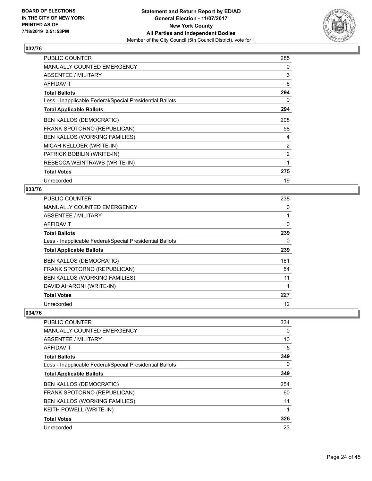![](_page_23_Picture_2.jpeg)

| <b>PUBLIC COUNTER</b>                                    | 285            |
|----------------------------------------------------------|----------------|
| <b>MANUALLY COUNTED EMERGENCY</b>                        | 0              |
| ABSENTEE / MILITARY                                      | 3              |
| <b>AFFIDAVIT</b>                                         | 6              |
| <b>Total Ballots</b>                                     | 294            |
| Less - Inapplicable Federal/Special Presidential Ballots | 0              |
| <b>Total Applicable Ballots</b>                          | 294            |
| <b>BEN KALLOS (DEMOCRATIC)</b>                           | 208            |
| FRANK SPOTORNO (REPUBLICAN)                              | 58             |
| BEN KALLOS (WORKING FAMILIES)                            | 4              |
| MICAH KELLOER (WRITE-IN)                                 | 2              |
| PATRICK BOBILIN (WRITE-IN)                               | $\overline{2}$ |
| REBECCA WEINTRAWB (WRITE-IN)                             | 1              |
| <b>Total Votes</b>                                       | 275            |
| Unrecorded                                               | 19             |

#### **033/76**

| <b>PUBLIC COUNTER</b>                                    | 238 |
|----------------------------------------------------------|-----|
| MANUALLY COUNTED EMERGENCY                               | 0   |
| ABSENTEE / MILITARY                                      |     |
| AFFIDAVIT                                                | 0   |
| <b>Total Ballots</b>                                     | 239 |
| Less - Inapplicable Federal/Special Presidential Ballots | 0   |
| <b>Total Applicable Ballots</b>                          | 239 |
| <b>BEN KALLOS (DEMOCRATIC)</b>                           | 161 |
| FRANK SPOTORNO (REPUBLICAN)                              | 54  |
| BEN KALLOS (WORKING FAMILIES)                            | 11  |
| DAVID AHARONI (WRITE-IN)                                 |     |
| <b>Total Votes</b>                                       | 227 |
| Unrecorded                                               | 12  |

| <b>PUBLIC COUNTER</b>                                    | 334 |
|----------------------------------------------------------|-----|
| <b>MANUALLY COUNTED EMERGENCY</b>                        | 0   |
| ABSENTEE / MILITARY                                      | 10  |
| AFFIDAVIT                                                | 5   |
| <b>Total Ballots</b>                                     | 349 |
| Less - Inapplicable Federal/Special Presidential Ballots | 0   |
| <b>Total Applicable Ballots</b>                          | 349 |
| <b>BEN KALLOS (DEMOCRATIC)</b>                           | 254 |
| FRANK SPOTORNO (REPUBLICAN)                              | 60  |
| BEN KALLOS (WORKING FAMILIES)                            | 11  |
| <b>KEITH POWELL (WRITE-IN)</b>                           |     |
| <b>Total Votes</b>                                       | 326 |
| Unrecorded                                               | 23  |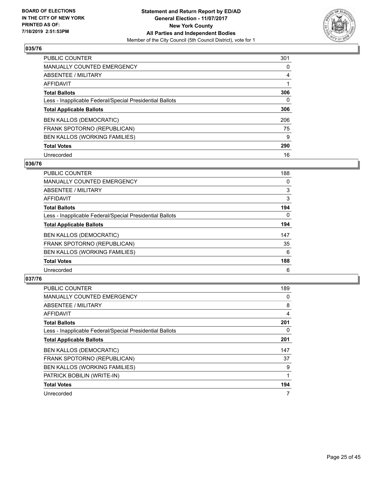![](_page_24_Picture_2.jpeg)

| <b>PUBLIC COUNTER</b>                                    | 301 |
|----------------------------------------------------------|-----|
| <b>MANUALLY COUNTED EMERGENCY</b>                        | 0   |
| <b>ABSENTEE / MILITARY</b>                               | 4   |
| AFFIDAVIT                                                |     |
| <b>Total Ballots</b>                                     | 306 |
| Less - Inapplicable Federal/Special Presidential Ballots | 0   |
| <b>Total Applicable Ballots</b>                          | 306 |
| <b>BEN KALLOS (DEMOCRATIC)</b>                           | 206 |
| FRANK SPOTORNO (REPUBLICAN)                              | 75  |
| BEN KALLOS (WORKING FAMILIES)                            | 9   |
| <b>Total Votes</b>                                       | 290 |
| Unrecorded                                               | 16  |

#### **036/76**

| <b>PUBLIC COUNTER</b>                                    | 188      |
|----------------------------------------------------------|----------|
| <b>MANUALLY COUNTED EMERGENCY</b>                        | 0        |
| <b>ABSENTEE / MILITARY</b>                               | 3        |
| <b>AFFIDAVIT</b>                                         | 3        |
| <b>Total Ballots</b>                                     | 194      |
| Less - Inapplicable Federal/Special Presidential Ballots | $\Omega$ |
| <b>Total Applicable Ballots</b>                          | 194      |
| <b>BEN KALLOS (DEMOCRATIC)</b>                           | 147      |
| FRANK SPOTORNO (REPUBLICAN)                              | 35       |
| <b>BEN KALLOS (WORKING FAMILIES)</b>                     | 6        |
| <b>Total Votes</b>                                       | 188      |
| Unrecorded                                               | 6        |

| <b>PUBLIC COUNTER</b>                                    | 189 |
|----------------------------------------------------------|-----|
| <b>MANUALLY COUNTED EMERGENCY</b>                        | 0   |
| ABSENTEE / MILITARY                                      | 8   |
| AFFIDAVIT                                                | 4   |
| <b>Total Ballots</b>                                     | 201 |
| Less - Inapplicable Federal/Special Presidential Ballots | 0   |
| <b>Total Applicable Ballots</b>                          | 201 |
| <b>BEN KALLOS (DEMOCRATIC)</b>                           | 147 |
| FRANK SPOTORNO (REPUBLICAN)                              | 37  |
| BEN KALLOS (WORKING FAMILIES)                            | 9   |
| PATRICK BOBILIN (WRITE-IN)                               |     |
| <b>Total Votes</b>                                       | 194 |
| Unrecorded                                               |     |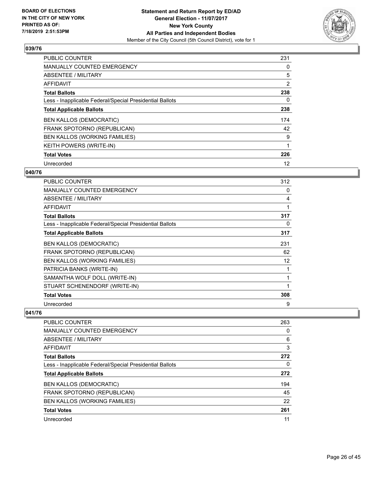![](_page_25_Picture_2.jpeg)

| <b>PUBLIC COUNTER</b>                                    | 231            |
|----------------------------------------------------------|----------------|
| MANUALLY COUNTED EMERGENCY                               | 0              |
| ABSENTEE / MILITARY                                      | 5              |
| <b>AFFIDAVIT</b>                                         | $\overline{2}$ |
| <b>Total Ballots</b>                                     | 238            |
| Less - Inapplicable Federal/Special Presidential Ballots | 0              |
| <b>Total Applicable Ballots</b>                          | 238            |
| <b>BEN KALLOS (DEMOCRATIC)</b>                           | 174            |
| FRANK SPOTORNO (REPUBLICAN)                              | 42             |
| BEN KALLOS (WORKING FAMILIES)                            | 9              |
| KEITH POWERS (WRITE-IN)                                  |                |
| <b>Total Votes</b>                                       | 226            |
| Unrecorded                                               | 12             |

#### **040/76**

| PUBLIC COUNTER                                           | 312 |
|----------------------------------------------------------|-----|
| <b>MANUALLY COUNTED EMERGENCY</b>                        | 0   |
| <b>ABSENTEE / MILITARY</b>                               | 4   |
| AFFIDAVIT                                                |     |
| <b>Total Ballots</b>                                     | 317 |
| Less - Inapplicable Federal/Special Presidential Ballots | 0   |
| <b>Total Applicable Ballots</b>                          | 317 |
| <b>BEN KALLOS (DEMOCRATIC)</b>                           | 231 |
| FRANK SPOTORNO (REPUBLICAN)                              | 62  |
| BEN KALLOS (WORKING FAMILIES)                            | 12  |
| PATRICIA BANKS (WRITE-IN)                                |     |
| SAMANTHA WOLF DOLL (WRITE-IN)                            | 1   |
| STUART SCHENENDORF (WRITE-IN)                            | 1   |
| <b>Total Votes</b>                                       | 308 |
| Unrecorded                                               | 9   |

| <b>PUBLIC COUNTER</b>                                    | 263 |
|----------------------------------------------------------|-----|
| MANUALLY COUNTED EMERGENCY                               | 0   |
| ABSENTEE / MILITARY                                      | 6   |
| AFFIDAVIT                                                | 3   |
| <b>Total Ballots</b>                                     | 272 |
| Less - Inapplicable Federal/Special Presidential Ballots | 0   |
| <b>Total Applicable Ballots</b>                          | 272 |
| <b>BEN KALLOS (DEMOCRATIC)</b>                           | 194 |
| FRANK SPOTORNO (REPUBLICAN)                              | 45  |
| BEN KALLOS (WORKING FAMILIES)                            | 22  |
| <b>Total Votes</b>                                       | 261 |
| Unrecorded                                               | 11  |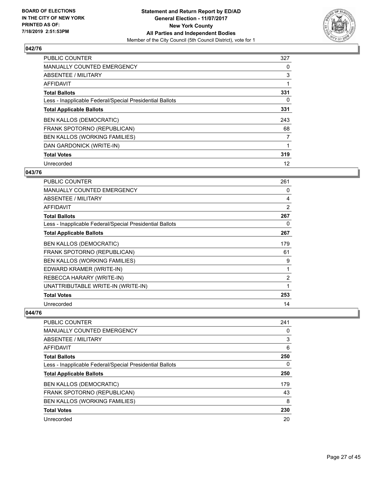![](_page_26_Picture_2.jpeg)

| <b>PUBLIC COUNTER</b>                                    | 327            |
|----------------------------------------------------------|----------------|
| MANUALLY COUNTED EMERGENCY                               | 0              |
| ABSENTEE / MILITARY                                      | 3              |
| <b>AFFIDAVIT</b>                                         |                |
| <b>Total Ballots</b>                                     | 331            |
| Less - Inapplicable Federal/Special Presidential Ballots | 0              |
| <b>Total Applicable Ballots</b>                          | 331            |
| <b>BEN KALLOS (DEMOCRATIC)</b>                           | 243            |
| FRANK SPOTORNO (REPUBLICAN)                              | 68             |
| BEN KALLOS (WORKING FAMILIES)                            | $\overline{7}$ |
| DAN GARDONICK (WRITE-IN)                                 |                |
| <b>Total Votes</b>                                       | 319            |
| Unrecorded                                               | 12             |

#### **043/76**

| PUBLIC COUNTER                                           | 261            |
|----------------------------------------------------------|----------------|
| <b>MANUALLY COUNTED EMERGENCY</b>                        | 0              |
| ABSENTEE / MILITARY                                      | 4              |
| <b>AFFIDAVIT</b>                                         | 2              |
| <b>Total Ballots</b>                                     | 267            |
| Less - Inapplicable Federal/Special Presidential Ballots | 0              |
| <b>Total Applicable Ballots</b>                          | 267            |
| <b>BEN KALLOS (DEMOCRATIC)</b>                           | 179            |
| FRANK SPOTORNO (REPUBLICAN)                              | 61             |
| BEN KALLOS (WORKING FAMILIES)                            | 9              |
| EDWARD KRAMER (WRITE-IN)                                 | 1              |
| REBECCA HARARY (WRITE-IN)                                | $\overline{c}$ |
| UNATTRIBUTABLE WRITE-IN (WRITE-IN)                       | 1              |
| <b>Total Votes</b>                                       | 253            |
| Unrecorded                                               | 14             |

| <b>PUBLIC COUNTER</b>                                    | 241 |
|----------------------------------------------------------|-----|
| <b>MANUALLY COUNTED EMERGENCY</b>                        | 0   |
| ABSENTEE / MILITARY                                      | 3   |
| AFFIDAVIT                                                | 6   |
| <b>Total Ballots</b>                                     | 250 |
| Less - Inapplicable Federal/Special Presidential Ballots | 0   |
| <b>Total Applicable Ballots</b>                          | 250 |
| <b>BEN KALLOS (DEMOCRATIC)</b>                           | 179 |
| FRANK SPOTORNO (REPUBLICAN)                              | 43  |
| <b>BEN KALLOS (WORKING FAMILIES)</b>                     | 8   |
| <b>Total Votes</b>                                       | 230 |
| Unrecorded                                               | 20  |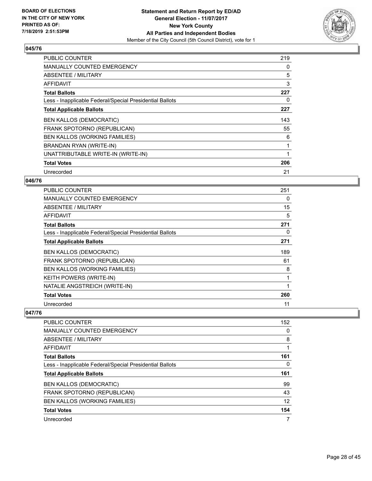![](_page_27_Picture_2.jpeg)

| <b>PUBLIC COUNTER</b>                                    | 219 |
|----------------------------------------------------------|-----|
| MANUALLY COUNTED EMERGENCY                               | 0   |
| <b>ABSENTEE / MILITARY</b>                               | 5   |
| AFFIDAVIT                                                | 3   |
| <b>Total Ballots</b>                                     | 227 |
| Less - Inapplicable Federal/Special Presidential Ballots | 0   |
| <b>Total Applicable Ballots</b>                          | 227 |
| <b>BEN KALLOS (DEMOCRATIC)</b>                           | 143 |
| FRANK SPOTORNO (REPUBLICAN)                              | 55  |
| <b>BEN KALLOS (WORKING FAMILIES)</b>                     | 6   |
| BRANDAN RYAN (WRITE-IN)                                  |     |
| UNATTRIBUTABLE WRITE-IN (WRITE-IN)                       |     |
| <b>Total Votes</b>                                       | 206 |
| Unrecorded                                               | 21  |

## **046/76**

| <b>PUBLIC COUNTER</b>                                    | 251 |
|----------------------------------------------------------|-----|
| <b>MANUALLY COUNTED EMERGENCY</b>                        | 0   |
| ABSENTEE / MILITARY                                      | 15  |
| AFFIDAVIT                                                | 5   |
| <b>Total Ballots</b>                                     | 271 |
| Less - Inapplicable Federal/Special Presidential Ballots | 0   |
| <b>Total Applicable Ballots</b>                          | 271 |
| <b>BEN KALLOS (DEMOCRATIC)</b>                           | 189 |
| FRANK SPOTORNO (REPUBLICAN)                              | 61  |
| BEN KALLOS (WORKING FAMILIES)                            | 8   |
| <b>KEITH POWERS (WRITE-IN)</b>                           | 1   |
| NATALIE ANGSTREICH (WRITE-IN)                            |     |
| <b>Total Votes</b>                                       | 260 |
| Unrecorded                                               | 11  |

| <b>PUBLIC COUNTER</b>                                    | 152 |
|----------------------------------------------------------|-----|
| MANUALLY COUNTED EMERGENCY                               | 0   |
| ABSENTEE / MILITARY                                      | 8   |
| AFFIDAVIT                                                |     |
| <b>Total Ballots</b>                                     | 161 |
| Less - Inapplicable Federal/Special Presidential Ballots | 0   |
|                                                          |     |
| <b>Total Applicable Ballots</b>                          | 161 |
| <b>BEN KALLOS (DEMOCRATIC)</b>                           | 99  |
| FRANK SPOTORNO (REPUBLICAN)                              | 43  |
| <b>BEN KALLOS (WORKING FAMILIES)</b>                     | 12  |
| <b>Total Votes</b>                                       | 154 |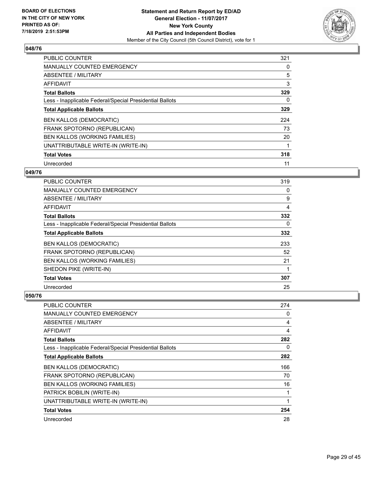![](_page_28_Picture_2.jpeg)

| <b>PUBLIC COUNTER</b>                                    | 321 |
|----------------------------------------------------------|-----|
| <b>MANUALLY COUNTED EMERGENCY</b>                        | 0   |
| ABSENTEE / MILITARY                                      | 5   |
| <b>AFFIDAVIT</b>                                         | 3   |
| <b>Total Ballots</b>                                     | 329 |
| Less - Inapplicable Federal/Special Presidential Ballots | 0   |
| <b>Total Applicable Ballots</b>                          | 329 |
| <b>BEN KALLOS (DEMOCRATIC)</b>                           | 224 |
| FRANK SPOTORNO (REPUBLICAN)                              | 73  |
| BEN KALLOS (WORKING FAMILIES)                            | 20  |
| UNATTRIBUTABLE WRITE-IN (WRITE-IN)                       |     |
| <b>Total Votes</b>                                       | 318 |
| Unrecorded                                               | 11  |

## **049/76**

| <b>PUBLIC COUNTER</b>                                    | 319 |
|----------------------------------------------------------|-----|
| MANUALLY COUNTED EMERGENCY                               | 0   |
| <b>ABSENTEE / MILITARY</b>                               | 9   |
| AFFIDAVIT                                                | 4   |
| <b>Total Ballots</b>                                     | 332 |
| Less - Inapplicable Federal/Special Presidential Ballots | 0   |
| <b>Total Applicable Ballots</b>                          | 332 |
| <b>BEN KALLOS (DEMOCRATIC)</b>                           | 233 |
| FRANK SPOTORNO (REPUBLICAN)                              | 52  |
| BEN KALLOS (WORKING FAMILIES)                            | 21  |
| SHEDON PIKE (WRITE-IN)                                   |     |
| <b>Total Votes</b>                                       | 307 |
| Unrecorded                                               | 25  |

| PUBLIC COUNTER                                           | 274      |
|----------------------------------------------------------|----------|
| MANUALLY COUNTED EMERGENCY                               | 0        |
| ABSENTEE / MILITARY                                      | 4        |
| AFFIDAVIT                                                | 4        |
| <b>Total Ballots</b>                                     | 282      |
| Less - Inapplicable Federal/Special Presidential Ballots | $\Omega$ |
| <b>Total Applicable Ballots</b>                          | 282      |
| <b>BEN KALLOS (DEMOCRATIC)</b>                           | 166      |
| FRANK SPOTORNO (REPUBLICAN)                              | 70       |
| BEN KALLOS (WORKING FAMILIES)                            | 16       |
| PATRICK BOBILIN (WRITE-IN)                               | 1        |
| UNATTRIBUTABLE WRITE-IN (WRITE-IN)                       | 1        |
| <b>Total Votes</b>                                       | 254      |
| Unrecorded                                               | 28       |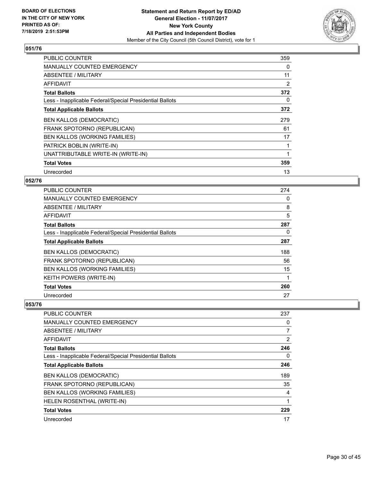![](_page_29_Picture_2.jpeg)

| <b>PUBLIC COUNTER</b>                                    | 359 |
|----------------------------------------------------------|-----|
| <b>MANUALLY COUNTED EMERGENCY</b>                        | 0   |
| <b>ABSENTEE / MILITARY</b>                               | 11  |
| AFFIDAVIT                                                | 2   |
| <b>Total Ballots</b>                                     | 372 |
| Less - Inapplicable Federal/Special Presidential Ballots | 0   |
| <b>Total Applicable Ballots</b>                          | 372 |
| <b>BEN KALLOS (DEMOCRATIC)</b>                           | 279 |
| FRANK SPOTORNO (REPUBLICAN)                              | 61  |
| <b>BEN KALLOS (WORKING FAMILIES)</b>                     | 17  |
| PATRICK BOBLIN (WRITE-IN)                                |     |
| UNATTRIBUTABLE WRITE-IN (WRITE-IN)                       |     |
| <b>Total Votes</b>                                       | 359 |
| Unrecorded                                               | 13  |

## **052/76**

| PUBLIC COUNTER                                           | 274      |
|----------------------------------------------------------|----------|
| <b>MANUALLY COUNTED EMERGENCY</b>                        | $\Omega$ |
| ABSENTEE / MILITARY                                      | 8        |
| <b>AFFIDAVIT</b>                                         | 5        |
| <b>Total Ballots</b>                                     | 287      |
| Less - Inapplicable Federal/Special Presidential Ballots | 0        |
| <b>Total Applicable Ballots</b>                          | 287      |
| <b>BEN KALLOS (DEMOCRATIC)</b>                           | 188      |
| FRANK SPOTORNO (REPUBLICAN)                              | 56       |
| BEN KALLOS (WORKING FAMILIES)                            | 15       |
| KEITH POWERS (WRITE-IN)                                  |          |
| <b>Total Votes</b>                                       | 260      |
| Unrecorded                                               | 27       |

| PUBLIC COUNTER                                           | 237            |
|----------------------------------------------------------|----------------|
| MANUALLY COUNTED EMERGENCY                               | 0              |
| ABSENTEE / MILITARY                                      | $\overline{7}$ |
| AFFIDAVIT                                                | 2              |
| <b>Total Ballots</b>                                     | 246            |
| Less - Inapplicable Federal/Special Presidential Ballots | $\Omega$       |
| <b>Total Applicable Ballots</b>                          | 246            |
| <b>BEN KALLOS (DEMOCRATIC)</b>                           | 189            |
| FRANK SPOTORNO (REPUBLICAN)                              | 35             |
| <b>BEN KALLOS (WORKING FAMILIES)</b>                     | 4              |
| HELEN ROSENTHAL (WRITE-IN)                               | 1              |
| <b>Total Votes</b>                                       | 229            |
| Unrecorded                                               | 17             |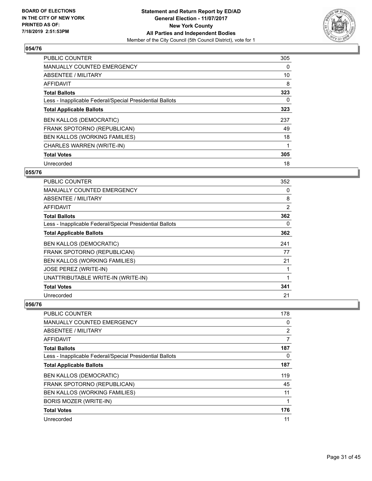![](_page_30_Picture_2.jpeg)

| <b>PUBLIC COUNTER</b>                                    | 305 |
|----------------------------------------------------------|-----|
| <b>MANUALLY COUNTED EMERGENCY</b>                        | 0   |
| ABSENTEE / MILITARY                                      | 10  |
| <b>AFFIDAVIT</b>                                         | 8   |
| <b>Total Ballots</b>                                     | 323 |
| Less - Inapplicable Federal/Special Presidential Ballots | 0   |
| <b>Total Applicable Ballots</b>                          | 323 |
| <b>BEN KALLOS (DEMOCRATIC)</b>                           | 237 |
| FRANK SPOTORNO (REPUBLICAN)                              | 49  |
| <b>BEN KALLOS (WORKING FAMILIES)</b>                     | 18  |
| CHARLES WARREN (WRITE-IN)                                |     |
| <b>Total Votes</b>                                       | 305 |
| Unrecorded                                               | 18  |

#### **055/76**

| <b>PUBLIC COUNTER</b>                                    | 352 |
|----------------------------------------------------------|-----|
| <b>MANUALLY COUNTED EMERGENCY</b>                        | 0   |
| ABSENTEE / MILITARY                                      | 8   |
| <b>AFFIDAVIT</b>                                         | 2   |
| <b>Total Ballots</b>                                     | 362 |
| Less - Inapplicable Federal/Special Presidential Ballots | 0   |
| <b>Total Applicable Ballots</b>                          | 362 |
| <b>BEN KALLOS (DEMOCRATIC)</b>                           | 241 |
| FRANK SPOTORNO (REPUBLICAN)                              | 77  |
| BEN KALLOS (WORKING FAMILIES)                            | 21  |
| <b>JOSE PEREZ (WRITE-IN)</b>                             | 1   |
| UNATTRIBUTABLE WRITE-IN (WRITE-IN)                       |     |
| <b>Total Votes</b>                                       | 341 |
| Unrecorded                                               | 21  |

| PUBLIC COUNTER                                           | 178            |
|----------------------------------------------------------|----------------|
| MANUALLY COUNTED EMERGENCY                               | 0              |
| ABSENTEE / MILITARY                                      | $\overline{2}$ |
| AFFIDAVIT                                                | 7              |
| <b>Total Ballots</b>                                     | 187            |
| Less - Inapplicable Federal/Special Presidential Ballots | 0              |
| <b>Total Applicable Ballots</b>                          | 187            |
| <b>BEN KALLOS (DEMOCRATIC)</b>                           | 119            |
| FRANK SPOTORNO (REPUBLICAN)                              | 45             |
| <b>BEN KALLOS (WORKING FAMILIES)</b>                     | 11             |
| BORIS MOZER (WRITE-IN)                                   |                |
| <b>Total Votes</b>                                       | 176            |
| Unrecorded                                               | 11             |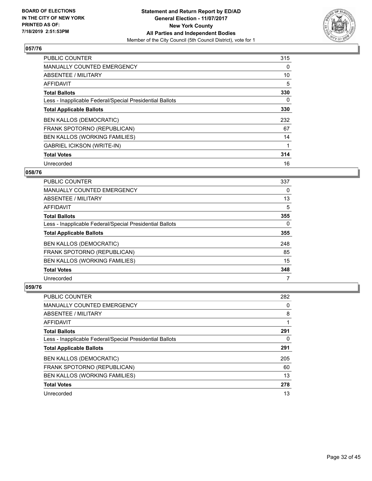![](_page_31_Picture_2.jpeg)

| <b>PUBLIC COUNTER</b>                                    | 315 |
|----------------------------------------------------------|-----|
| <b>MANUALLY COUNTED EMERGENCY</b>                        | 0   |
| ABSENTEE / MILITARY                                      | 10  |
| <b>AFFIDAVIT</b>                                         | 5   |
| <b>Total Ballots</b>                                     | 330 |
| Less - Inapplicable Federal/Special Presidential Ballots | 0   |
| <b>Total Applicable Ballots</b>                          | 330 |
| <b>BEN KALLOS (DEMOCRATIC)</b>                           | 232 |
| FRANK SPOTORNO (REPUBLICAN)                              | 67  |
| BEN KALLOS (WORKING FAMILIES)                            | 14  |
| <b>GABRIEL ICIKSON (WRITE-IN)</b>                        |     |
| <b>Total Votes</b>                                       | 314 |
| Unrecorded                                               | 16  |

#### **058/76**

| <b>PUBLIC COUNTER</b>                                    | 337 |
|----------------------------------------------------------|-----|
| <b>MANUALLY COUNTED EMERGENCY</b>                        | 0   |
| ABSENTEE / MILITARY                                      | 13  |
| AFFIDAVIT                                                | 5   |
| <b>Total Ballots</b>                                     | 355 |
| Less - Inapplicable Federal/Special Presidential Ballots | 0   |
| <b>Total Applicable Ballots</b>                          | 355 |
| <b>BEN KALLOS (DEMOCRATIC)</b>                           | 248 |
| FRANK SPOTORNO (REPUBLICAN)                              | 85  |
| <b>BEN KALLOS (WORKING FAMILIES)</b>                     | 15  |
| <b>Total Votes</b>                                       | 348 |
| Unrecorded                                               |     |

| PUBLIC COUNTER                                           | 282 |
|----------------------------------------------------------|-----|
| <b>MANUALLY COUNTED EMERGENCY</b>                        | 0   |
| ABSENTEE / MILITARY                                      | 8   |
| AFFIDAVIT                                                |     |
| <b>Total Ballots</b>                                     | 291 |
| Less - Inapplicable Federal/Special Presidential Ballots | 0   |
| <b>Total Applicable Ballots</b>                          | 291 |
| <b>BEN KALLOS (DEMOCRATIC)</b>                           | 205 |
| FRANK SPOTORNO (REPUBLICAN)                              | 60  |
| <b>BEN KALLOS (WORKING FAMILIES)</b>                     | 13  |
| <b>Total Votes</b>                                       | 278 |
| Unrecorded                                               | 13  |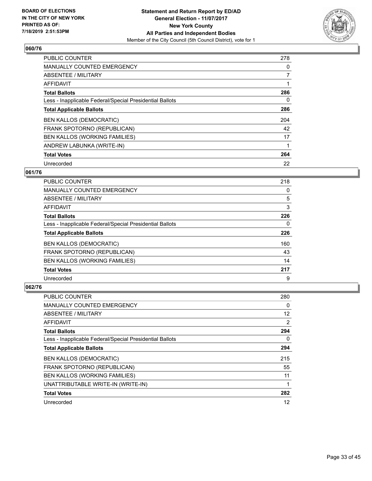![](_page_32_Picture_2.jpeg)

| <b>PUBLIC COUNTER</b>                                    | 278            |
|----------------------------------------------------------|----------------|
| <b>MANUALLY COUNTED EMERGENCY</b>                        | 0              |
| ABSENTEE / MILITARY                                      | $\overline{7}$ |
| <b>AFFIDAVIT</b>                                         |                |
| <b>Total Ballots</b>                                     | 286            |
| Less - Inapplicable Federal/Special Presidential Ballots | 0              |
| <b>Total Applicable Ballots</b>                          | 286            |
| <b>BEN KALLOS (DEMOCRATIC)</b>                           | 204            |
| FRANK SPOTORNO (REPUBLICAN)                              | 42             |
| BEN KALLOS (WORKING FAMILIES)                            | 17             |
| ANDREW LABUNKA (WRITE-IN)                                |                |
| <b>Total Votes</b>                                       | 264            |
| Unrecorded                                               | 22             |

## **061/76**

| <b>PUBLIC COUNTER</b>                                    | 218 |
|----------------------------------------------------------|-----|
| MANUALLY COUNTED EMERGENCY                               | 0   |
| ABSENTEE / MILITARY                                      | 5   |
| AFFIDAVIT                                                | 3   |
| <b>Total Ballots</b>                                     | 226 |
| Less - Inapplicable Federal/Special Presidential Ballots | 0   |
| <b>Total Applicable Ballots</b>                          | 226 |
| <b>BEN KALLOS (DEMOCRATIC)</b>                           | 160 |
| FRANK SPOTORNO (REPUBLICAN)                              | 43  |
| BEN KALLOS (WORKING FAMILIES)                            | 14  |
| <b>Total Votes</b>                                       | 217 |
| Unrecorded                                               | 9   |

| <b>PUBLIC COUNTER</b>                                    | 280 |
|----------------------------------------------------------|-----|
| MANUALLY COUNTED EMERGENCY                               | 0   |
| ABSENTEE / MILITARY                                      | 12  |
| AFFIDAVIT                                                | 2   |
| <b>Total Ballots</b>                                     | 294 |
| Less - Inapplicable Federal/Special Presidential Ballots | 0   |
| <b>Total Applicable Ballots</b>                          | 294 |
| <b>BEN KALLOS (DEMOCRATIC)</b>                           | 215 |
| FRANK SPOTORNO (REPUBLICAN)                              | 55  |
| <b>BEN KALLOS (WORKING FAMILIES)</b>                     | 11  |
| UNATTRIBUTABLE WRITE-IN (WRITE-IN)                       | 1   |
| <b>Total Votes</b>                                       | 282 |
| Unrecorded                                               | 12  |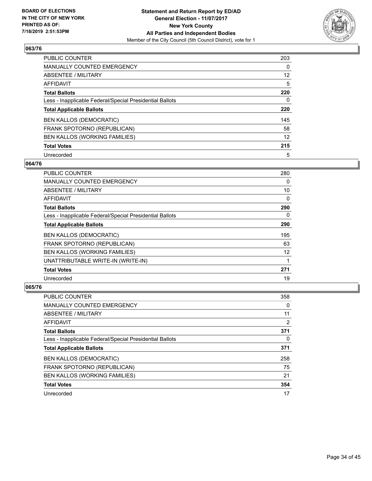![](_page_33_Picture_2.jpeg)

| PUBLIC COUNTER                                           | 203      |
|----------------------------------------------------------|----------|
| MANUALLY COUNTED EMERGENCY                               | $\Omega$ |
| ABSENTEE / MILITARY                                      | 12       |
| AFFIDAVIT                                                | 5        |
| <b>Total Ballots</b>                                     | 220      |
| Less - Inapplicable Federal/Special Presidential Ballots | 0        |
| <b>Total Applicable Ballots</b>                          | 220      |
| <b>BEN KALLOS (DEMOCRATIC)</b>                           | 145      |
| FRANK SPOTORNO (REPUBLICAN)                              | 58       |
| BEN KALLOS (WORKING FAMILIES)                            | 12       |
| <b>Total Votes</b>                                       | 215      |
| Unrecorded                                               | 5        |

# **064/76**

| <b>PUBLIC COUNTER</b>                                    | 280      |
|----------------------------------------------------------|----------|
| <b>MANUALLY COUNTED EMERGENCY</b>                        | 0        |
| ABSENTEE / MILITARY                                      | 10       |
| <b>AFFIDAVIT</b>                                         | 0        |
| <b>Total Ballots</b>                                     | 290      |
| Less - Inapplicable Federal/Special Presidential Ballots | $\Omega$ |
| <b>Total Applicable Ballots</b>                          | 290      |
| <b>BEN KALLOS (DEMOCRATIC)</b>                           | 195      |
| FRANK SPOTORNO (REPUBLICAN)                              | 63       |
| <b>BEN KALLOS (WORKING FAMILIES)</b>                     | 12       |
| UNATTRIBUTABLE WRITE-IN (WRITE-IN)                       |          |
| <b>Total Votes</b>                                       | 271      |
| Unrecorded                                               | 19       |

| <b>PUBLIC COUNTER</b>                                    | 358 |
|----------------------------------------------------------|-----|
| <b>MANUALLY COUNTED EMERGENCY</b>                        | 0   |
| ABSENTEE / MILITARY                                      | 11  |
| AFFIDAVIT                                                | 2   |
| <b>Total Ballots</b>                                     | 371 |
| Less - Inapplicable Federal/Special Presidential Ballots | 0   |
| <b>Total Applicable Ballots</b>                          | 371 |
| <b>BEN KALLOS (DEMOCRATIC)</b>                           | 258 |
| FRANK SPOTORNO (REPUBLICAN)                              | 75  |
| BEN KALLOS (WORKING FAMILIES)                            | 21  |
| <b>Total Votes</b>                                       | 354 |
| Unrecorded                                               | 17  |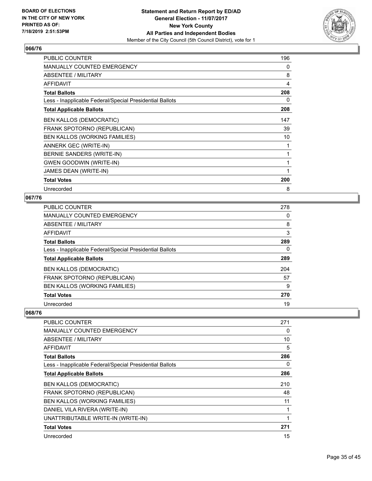![](_page_34_Picture_2.jpeg)

| PUBLIC COUNTER                                           | 196 |
|----------------------------------------------------------|-----|
| <b>MANUALLY COUNTED EMERGENCY</b>                        | 0   |
| ABSENTEE / MILITARY                                      | 8   |
| AFFIDAVIT                                                | 4   |
| <b>Total Ballots</b>                                     | 208 |
| Less - Inapplicable Federal/Special Presidential Ballots | 0   |
| <b>Total Applicable Ballots</b>                          | 208 |
| <b>BEN KALLOS (DEMOCRATIC)</b>                           | 147 |
| FRANK SPOTORNO (REPUBLICAN)                              | 39  |
| BEN KALLOS (WORKING FAMILIES)                            | 10  |
| ANNERK GEC (WRITE-IN)                                    | 1   |
| BERNIE SANDERS (WRITE-IN)                                | 1   |
| <b>GWEN GOODWIN (WRITE-IN)</b>                           | 1   |
| JAMES DEAN (WRITE-IN)                                    | 1   |
| <b>Total Votes</b>                                       | 200 |
| Unrecorded                                               | 8   |

## **067/76**

| <b>PUBLIC COUNTER</b>                                    | 278 |
|----------------------------------------------------------|-----|
| <b>MANUALLY COUNTED EMERGENCY</b>                        | 0   |
| ABSENTEE / MILITARY                                      | 8   |
| AFFIDAVIT                                                | 3   |
| <b>Total Ballots</b>                                     | 289 |
| Less - Inapplicable Federal/Special Presidential Ballots | 0   |
| <b>Total Applicable Ballots</b>                          | 289 |
| <b>BEN KALLOS (DEMOCRATIC)</b>                           | 204 |
| FRANK SPOTORNO (REPUBLICAN)                              | 57  |
| <b>BEN KALLOS (WORKING FAMILIES)</b>                     | 9   |
| <b>Total Votes</b>                                       | 270 |
| Unrecorded                                               | 19  |

| <b>PUBLIC COUNTER</b>                                    | 271      |
|----------------------------------------------------------|----------|
| MANUALLY COUNTED EMERGENCY                               | $\Omega$ |
| ABSENTEE / MILITARY                                      | 10       |
| <b>AFFIDAVIT</b>                                         | 5        |
| <b>Total Ballots</b>                                     | 286      |
| Less - Inapplicable Federal/Special Presidential Ballots | 0        |
| <b>Total Applicable Ballots</b>                          | 286      |
| <b>BEN KALLOS (DEMOCRATIC)</b>                           | 210      |
| FRANK SPOTORNO (REPUBLICAN)                              | 48       |
| <b>BEN KALLOS (WORKING FAMILIES)</b>                     | 11       |
| DANIEL VILA RIVERA (WRITE-IN)                            | 1        |
| UNATTRIBUTABLE WRITE-IN (WRITE-IN)                       | 1        |
| <b>Total Votes</b>                                       | 271      |
| Unrecorded                                               | 15       |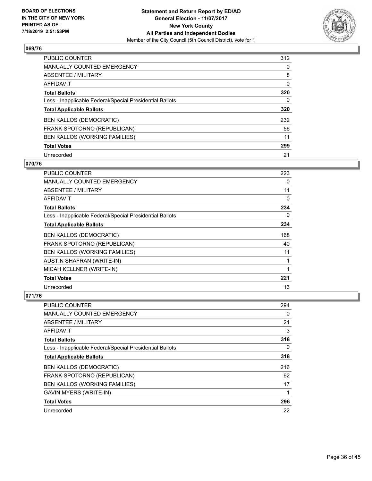![](_page_35_Picture_2.jpeg)

| <b>PUBLIC COUNTER</b>                                    | 312      |
|----------------------------------------------------------|----------|
| <b>MANUALLY COUNTED EMERGENCY</b>                        | $\Omega$ |
| <b>ABSENTEE / MILITARY</b>                               | 8        |
| AFFIDAVIT                                                | 0        |
| <b>Total Ballots</b>                                     | 320      |
| Less - Inapplicable Federal/Special Presidential Ballots | 0        |
| <b>Total Applicable Ballots</b>                          | 320      |
| <b>BEN KALLOS (DEMOCRATIC)</b>                           | 232      |
| FRANK SPOTORNO (REPUBLICAN)                              | 56       |
| BEN KALLOS (WORKING FAMILIES)                            | 11       |
| <b>Total Votes</b>                                       | 299      |
| Unrecorded                                               | 21       |

#### **070/76**

| <b>PUBLIC COUNTER</b>                                    | 223      |
|----------------------------------------------------------|----------|
| MANUALLY COUNTED EMERGENCY                               | 0        |
| ABSENTEE / MILITARY                                      | 11       |
| <b>AFFIDAVIT</b>                                         | 0        |
| <b>Total Ballots</b>                                     | 234      |
| Less - Inapplicable Federal/Special Presidential Ballots | $\Omega$ |
| <b>Total Applicable Ballots</b>                          | 234      |
| <b>BEN KALLOS (DEMOCRATIC)</b>                           | 168      |
| FRANK SPOTORNO (REPUBLICAN)                              | 40       |
| BEN KALLOS (WORKING FAMILIES)                            | 11       |
| AUSTIN SHAFRAN (WRITE-IN)                                | 1        |
| MICAH KELLNER (WRITE-IN)                                 | 1        |
| <b>Total Votes</b>                                       | 221      |
| Unrecorded                                               | 13       |

| PUBLIC COUNTER                                           | 294      |
|----------------------------------------------------------|----------|
| MANUALLY COUNTED EMERGENCY                               | $\Omega$ |
| ABSENTEE / MILITARY                                      | 21       |
| AFFIDAVIT                                                | 3        |
| <b>Total Ballots</b>                                     | 318      |
| Less - Inapplicable Federal/Special Presidential Ballots | $\Omega$ |
| <b>Total Applicable Ballots</b>                          | 318      |
| <b>BEN KALLOS (DEMOCRATIC)</b>                           | 216      |
| FRANK SPOTORNO (REPUBLICAN)                              | 62       |
| BEN KALLOS (WORKING FAMILIES)                            | 17       |
| <b>GAVIN MYERS (WRITE-IN)</b>                            | 1        |
| <b>Total Votes</b>                                       | 296      |
| Unrecorded                                               | 22       |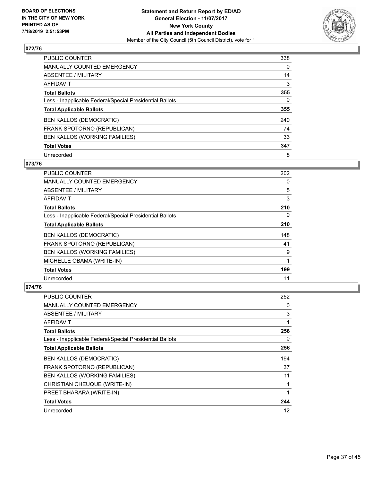![](_page_36_Picture_2.jpeg)

| PUBLIC COUNTER                                           | 338      |
|----------------------------------------------------------|----------|
| MANUALLY COUNTED EMERGENCY                               | $\Omega$ |
| ABSENTEE / MILITARY                                      | 14       |
| AFFIDAVIT                                                | 3        |
| <b>Total Ballots</b>                                     | 355      |
| Less - Inapplicable Federal/Special Presidential Ballots | 0        |
| <b>Total Applicable Ballots</b>                          | 355      |
| <b>BEN KALLOS (DEMOCRATIC)</b>                           | 240      |
| FRANK SPOTORNO (REPUBLICAN)                              | 74       |
| BEN KALLOS (WORKING FAMILIES)                            | 33       |
| <b>Total Votes</b>                                       | 347      |
| Unrecorded                                               | 8        |

#### **073/76**

| PUBLIC COUNTER                                           | 202      |
|----------------------------------------------------------|----------|
| <b>MANUALLY COUNTED EMERGENCY</b>                        | 0        |
| ABSENTEE / MILITARY                                      | 5        |
| <b>AFFIDAVIT</b>                                         | 3        |
| <b>Total Ballots</b>                                     | 210      |
| Less - Inapplicable Federal/Special Presidential Ballots | $\Omega$ |
| <b>Total Applicable Ballots</b>                          | 210      |
| <b>BEN KALLOS (DEMOCRATIC)</b>                           | 148      |
| FRANK SPOTORNO (REPUBLICAN)                              | 41       |
| BEN KALLOS (WORKING FAMILIES)                            | 9        |
| MICHELLE OBAMA (WRITE-IN)                                | 1        |
| <b>Total Votes</b>                                       | 199      |
| Unrecorded                                               | 11       |

| <b>PUBLIC COUNTER</b>                                    | 252 |
|----------------------------------------------------------|-----|
| MANUALLY COUNTED EMERGENCY                               | 0   |
| ABSENTEE / MILITARY                                      | 3   |
| <b>AFFIDAVIT</b>                                         | 1   |
| <b>Total Ballots</b>                                     | 256 |
| Less - Inapplicable Federal/Special Presidential Ballots | 0   |
| <b>Total Applicable Ballots</b>                          | 256 |
| <b>BEN KALLOS (DEMOCRATIC)</b>                           | 194 |
| FRANK SPOTORNO (REPUBLICAN)                              | 37  |
| BEN KALLOS (WORKING FAMILIES)                            | 11  |
| CHRISTIAN CHEUQUE (WRITE-IN)                             | 1   |
| PREET BHARARA (WRITE-IN)                                 | 1   |
| <b>Total Votes</b>                                       | 244 |
| Unrecorded                                               | 12  |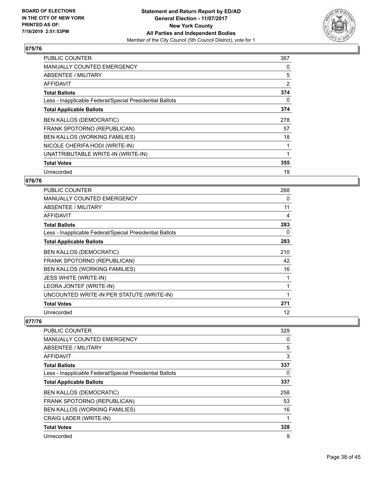![](_page_37_Picture_2.jpeg)

| <b>PUBLIC COUNTER</b>                                    | 367 |
|----------------------------------------------------------|-----|
| <b>MANUALLY COUNTED EMERGENCY</b>                        | 0   |
| ABSENTEE / MILITARY                                      | 5   |
| AFFIDAVIT                                                | 2   |
| <b>Total Ballots</b>                                     | 374 |
| Less - Inapplicable Federal/Special Presidential Ballots | 0   |
| <b>Total Applicable Ballots</b>                          | 374 |
| <b>BEN KALLOS (DEMOCRATIC)</b>                           | 278 |
| FRANK SPOTORNO (REPUBLICAN)                              | 57  |
| BEN KALLOS (WORKING FAMILIES)                            | 18  |
| NICOLE CHERIFA HODI (WRITE-IN)                           |     |
| UNATTRIBUTABLE WRITE-IN (WRITE-IN)                       |     |
| <b>Total Votes</b>                                       | 355 |
| Unrecorded                                               | 19  |

## **076/76**

| <b>PUBLIC COUNTER</b>                                    | 268 |
|----------------------------------------------------------|-----|
| <b>MANUALLY COUNTED EMERGENCY</b>                        | 0   |
| ABSENTEE / MILITARY                                      | 11  |
| <b>AFFIDAVIT</b>                                         | 4   |
| <b>Total Ballots</b>                                     | 283 |
| Less - Inapplicable Federal/Special Presidential Ballots | 0   |
| <b>Total Applicable Ballots</b>                          | 283 |
| <b>BEN KALLOS (DEMOCRATIC)</b>                           | 210 |
| FRANK SPOTORNO (REPUBLICAN)                              | 42  |
| BEN KALLOS (WORKING FAMILIES)                            | 16  |
| <b>JESS WHITE (WRITE-IN)</b>                             |     |
| LEORA JONTEF (WRITE-IN)                                  |     |
| UNCOUNTED WRITE-IN PER STATUTE (WRITE-IN)                | 1   |
| <b>Total Votes</b>                                       | 271 |
| Unrecorded                                               | 12  |

| <b>PUBLIC COUNTER</b>                                    | 329 |
|----------------------------------------------------------|-----|
| <b>MANUALLY COUNTED EMERGENCY</b>                        | 0   |
| ABSENTEE / MILITARY                                      | 5   |
| AFFIDAVIT                                                | 3   |
| <b>Total Ballots</b>                                     | 337 |
| Less - Inapplicable Federal/Special Presidential Ballots | 0   |
| <b>Total Applicable Ballots</b>                          | 337 |
| <b>BEN KALLOS (DEMOCRATIC)</b>                           | 258 |
| FRANK SPOTORNO (REPUBLICAN)                              | 53  |
| BEN KALLOS (WORKING FAMILIES)                            | 16  |
| CRAIG LADER (WRITE-IN)                                   | 1   |
| <b>Total Votes</b>                                       | 328 |
| Unrecorded                                               | 9   |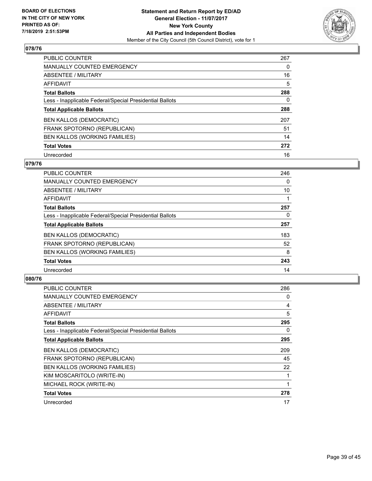![](_page_38_Picture_2.jpeg)

| PUBLIC COUNTER                                           | 267      |
|----------------------------------------------------------|----------|
| MANUALLY COUNTED EMERGENCY                               | $\Omega$ |
| ABSENTEE / MILITARY                                      | 16       |
| AFFIDAVIT                                                | 5        |
| <b>Total Ballots</b>                                     | 288      |
| Less - Inapplicable Federal/Special Presidential Ballots | 0        |
| <b>Total Applicable Ballots</b>                          | 288      |
| <b>BEN KALLOS (DEMOCRATIC)</b>                           | 207      |
| FRANK SPOTORNO (REPUBLICAN)                              | 51       |
| BEN KALLOS (WORKING FAMILIES)                            | 14       |
| <b>Total Votes</b>                                       | 272      |
| Unrecorded                                               | 16       |

#### **079/76**

| <b>PUBLIC COUNTER</b>                                    | 246 |
|----------------------------------------------------------|-----|
| <b>MANUALLY COUNTED EMERGENCY</b>                        | 0   |
| ABSENTEE / MILITARY                                      | 10  |
| <b>AFFIDAVIT</b>                                         |     |
| <b>Total Ballots</b>                                     | 257 |
| Less - Inapplicable Federal/Special Presidential Ballots | 0   |
| <b>Total Applicable Ballots</b>                          | 257 |
| <b>BEN KALLOS (DEMOCRATIC)</b>                           | 183 |
| FRANK SPOTORNO (REPUBLICAN)                              | 52  |
| BEN KALLOS (WORKING FAMILIES)                            | 8   |
| <b>Total Votes</b>                                       | 243 |
| Unrecorded                                               | 14  |

| <b>PUBLIC COUNTER</b>                                    | 286 |
|----------------------------------------------------------|-----|
| MANUALLY COUNTED EMERGENCY                               | 0   |
| ABSENTEE / MILITARY                                      | 4   |
| AFFIDAVIT                                                | 5   |
| <b>Total Ballots</b>                                     | 295 |
| Less - Inapplicable Federal/Special Presidential Ballots | 0   |
| <b>Total Applicable Ballots</b>                          | 295 |
| <b>BEN KALLOS (DEMOCRATIC)</b>                           | 209 |
| FRANK SPOTORNO (REPUBLICAN)                              | 45  |
| <b>BEN KALLOS (WORKING FAMILIES)</b>                     | 22  |
| KIM MOSCARITOLO (WRITE-IN)                               | 1   |
| MICHAEL ROCK (WRITE-IN)                                  | 1   |
| <b>Total Votes</b>                                       | 278 |
| Unrecorded                                               | 17  |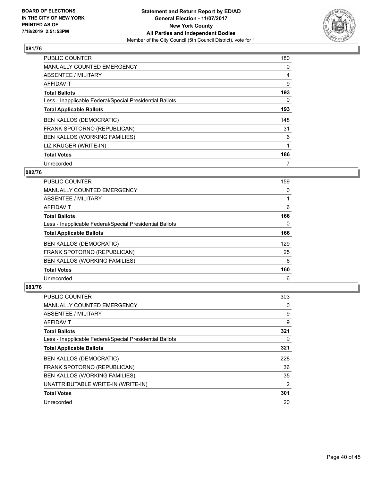![](_page_39_Picture_2.jpeg)

| <b>PUBLIC COUNTER</b>                                    | 180      |
|----------------------------------------------------------|----------|
| MANUALLY COUNTED EMERGENCY                               | 0        |
| ABSENTEE / MILITARY                                      | 4        |
| <b>AFFIDAVIT</b>                                         | 9        |
| <b>Total Ballots</b>                                     | 193      |
| Less - Inapplicable Federal/Special Presidential Ballots | $\Omega$ |
| <b>Total Applicable Ballots</b>                          | 193      |
| <b>BEN KALLOS (DEMOCRATIC)</b>                           | 148      |
| FRANK SPOTORNO (REPUBLICAN)                              | 31       |
| BEN KALLOS (WORKING FAMILIES)                            | 6        |
| LIZ KRUGER (WRITE-IN)                                    | 1        |
| <b>Total Votes</b>                                       | 186      |
| Unrecorded                                               | 7        |

#### **082/76**

| <b>PUBLIC COUNTER</b>                                    | 159 |
|----------------------------------------------------------|-----|
| <b>MANUALLY COUNTED EMERGENCY</b>                        | 0   |
| ABSENTEE / MILITARY                                      |     |
| AFFIDAVIT                                                | 6   |
| <b>Total Ballots</b>                                     | 166 |
| Less - Inapplicable Federal/Special Presidential Ballots | 0   |
| <b>Total Applicable Ballots</b>                          | 166 |
| <b>BEN KALLOS (DEMOCRATIC)</b>                           | 129 |
| FRANK SPOTORNO (REPUBLICAN)                              | 25  |
| BEN KALLOS (WORKING FAMILIES)                            | 6   |
| <b>Total Votes</b>                                       | 160 |
| Unrecorded                                               | 6   |

| <b>PUBLIC COUNTER</b>                                    | 303 |
|----------------------------------------------------------|-----|
| MANUALLY COUNTED EMERGENCY                               | 0   |
| ABSENTEE / MILITARY                                      | 9   |
| AFFIDAVIT                                                | 9   |
| <b>Total Ballots</b>                                     | 321 |
| Less - Inapplicable Federal/Special Presidential Ballots | 0   |
| <b>Total Applicable Ballots</b>                          | 321 |
| <b>BEN KALLOS (DEMOCRATIC)</b>                           | 228 |
| FRANK SPOTORNO (REPUBLICAN)                              | 36  |
| <b>BEN KALLOS (WORKING FAMILIES)</b>                     | 35  |
| UNATTRIBUTABLE WRITE-IN (WRITE-IN)                       | 2   |
| <b>Total Votes</b>                                       | 301 |
| Unrecorded                                               | 20  |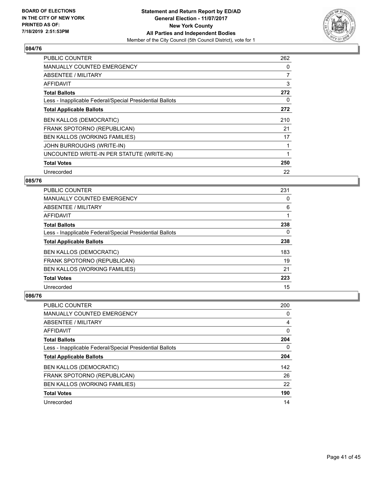![](_page_40_Picture_2.jpeg)

| <b>PUBLIC COUNTER</b>                                    | 262 |
|----------------------------------------------------------|-----|
| <b>MANUALLY COUNTED EMERGENCY</b>                        | 0   |
| ABSENTEE / MILITARY                                      | 7   |
| <b>AFFIDAVIT</b>                                         | 3   |
| <b>Total Ballots</b>                                     | 272 |
| Less - Inapplicable Federal/Special Presidential Ballots | 0   |
| <b>Total Applicable Ballots</b>                          | 272 |
| <b>BEN KALLOS (DEMOCRATIC)</b>                           | 210 |
| FRANK SPOTORNO (REPUBLICAN)                              | 21  |
| BEN KALLOS (WORKING FAMILIES)                            | 17  |
| JOHN BURROUGHS (WRITE-IN)                                |     |
| UNCOUNTED WRITE-IN PER STATUTE (WRITE-IN)                |     |
| <b>Total Votes</b>                                       | 250 |
| Unrecorded                                               | 22  |

## **085/76**

| <b>PUBLIC COUNTER</b>                                    | 231 |
|----------------------------------------------------------|-----|
| <b>MANUALLY COUNTED EMERGENCY</b>                        | 0   |
| ABSENTEE / MILITARY                                      | 6   |
| <b>AFFIDAVIT</b>                                         |     |
| <b>Total Ballots</b>                                     | 238 |
| Less - Inapplicable Federal/Special Presidential Ballots | 0   |
| <b>Total Applicable Ballots</b>                          | 238 |
| <b>BEN KALLOS (DEMOCRATIC)</b>                           | 183 |
| FRANK SPOTORNO (REPUBLICAN)                              | 19  |
| <b>BEN KALLOS (WORKING FAMILIES)</b>                     | 21  |
| <b>Total Votes</b>                                       | 223 |
| Unrecorded                                               | 15  |

| PUBLIC COUNTER                                           | 200 |
|----------------------------------------------------------|-----|
| MANUALLY COUNTED EMERGENCY                               | 0   |
| ABSENTEE / MILITARY                                      | 4   |
| AFFIDAVIT                                                | 0   |
| <b>Total Ballots</b>                                     | 204 |
| Less - Inapplicable Federal/Special Presidential Ballots | 0   |
| <b>Total Applicable Ballots</b>                          | 204 |
| <b>BEN KALLOS (DEMOCRATIC)</b>                           | 142 |
| FRANK SPOTORNO (REPUBLICAN)                              | 26  |
| BEN KALLOS (WORKING FAMILIES)                            | 22  |
| <b>Total Votes</b>                                       | 190 |
| Unrecorded                                               | 14  |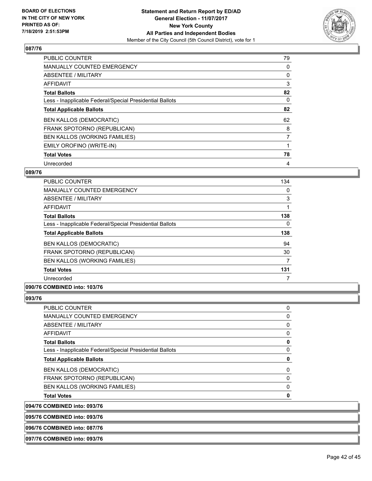![](_page_41_Picture_2.jpeg)

| <b>PUBLIC COUNTER</b>                                    | 79 |
|----------------------------------------------------------|----|
| <b>MANUALLY COUNTED EMERGENCY</b>                        | 0  |
| ABSENTEE / MILITARY                                      | 0  |
| AFFIDAVIT                                                | 3  |
| <b>Total Ballots</b>                                     | 82 |
| Less - Inapplicable Federal/Special Presidential Ballots | 0  |
| <b>Total Applicable Ballots</b>                          | 82 |
| <b>BEN KALLOS (DEMOCRATIC)</b>                           | 62 |
| FRANK SPOTORNO (REPUBLICAN)                              | 8  |
| BEN KALLOS (WORKING FAMILIES)                            | 7  |
| EMILY OROFINO (WRITE-IN)                                 |    |
| <b>Total Votes</b>                                       | 78 |
| Unrecorded                                               | 4  |

## **089/76**

| <b>PUBLIC COUNTER</b>                                    | 134      |
|----------------------------------------------------------|----------|
| <b>MANUALLY COUNTED EMERGENCY</b>                        | 0        |
| ABSENTEE / MILITARY                                      | 3        |
| <b>AFFIDAVIT</b>                                         |          |
| <b>Total Ballots</b>                                     | 138      |
| Less - Inapplicable Federal/Special Presidential Ballots | $\Omega$ |
| <b>Total Applicable Ballots</b>                          | 138      |
| <b>BEN KALLOS (DEMOCRATIC)</b>                           | 94       |
| FRANK SPOTORNO (REPUBLICAN)                              | 30       |
| BEN KALLOS (WORKING FAMILIES)                            | 7        |
| <b>Total Votes</b>                                       | 131      |
| Unrecorded                                               |          |

## **090/76 COMBINED into: 103/76**

#### **093/76**

| <b>PUBLIC COUNTER</b>                                    | 0        |
|----------------------------------------------------------|----------|
| <b>MANUALLY COUNTED EMERGENCY</b>                        | $\Omega$ |
| ABSENTEE / MILITARY                                      | $\Omega$ |
| <b>AFFIDAVIT</b>                                         | 0        |
| <b>Total Ballots</b>                                     | 0        |
| Less - Inapplicable Federal/Special Presidential Ballots | 0        |
| <b>Total Applicable Ballots</b>                          | 0        |
| <b>BEN KALLOS (DEMOCRATIC)</b>                           | 0        |
| FRANK SPOTORNO (REPUBLICAN)                              | 0        |
| BEN KALLOS (WORKING FAMILIES)                            | 0        |
| <b>Total Votes</b>                                       | 0        |
| 094/76 COMBINED into: 093/76                             |          |

## **095/76 COMBINED into: 093/76**

**096/76 COMBINED into: 087/76**

#### **097/76 COMBINED into: 093/76**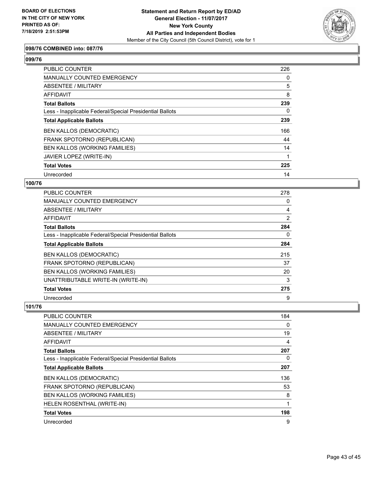![](_page_42_Picture_2.jpeg)

## **098/76 COMBINED into: 087/76**

#### **099/76**

| PUBLIC COUNTER                                           | 226      |
|----------------------------------------------------------|----------|
| MANUALLY COUNTED EMERGENCY                               | 0        |
| ABSENTEE / MILITARY                                      | 5        |
| AFFIDAVIT                                                | 8        |
| <b>Total Ballots</b>                                     | 239      |
| Less - Inapplicable Federal/Special Presidential Ballots | $\Omega$ |
| <b>Total Applicable Ballots</b>                          | 239      |
| <b>BEN KALLOS (DEMOCRATIC)</b>                           | 166      |
| FRANK SPOTORNO (REPUBLICAN)                              | 44       |
| <b>BEN KALLOS (WORKING FAMILIES)</b>                     | 14       |
| JAVIER LOPEZ (WRITE-IN)                                  |          |
| <b>Total Votes</b>                                       | 225      |
| Unrecorded                                               | 14       |

#### **100/76**

| <b>PUBLIC COUNTER</b>                                    | 278            |
|----------------------------------------------------------|----------------|
| MANUALLY COUNTED EMERGENCY                               | 0              |
| ABSENTEE / MILITARY                                      | 4              |
| AFFIDAVIT                                                | $\overline{2}$ |
| <b>Total Ballots</b>                                     | 284            |
| Less - Inapplicable Federal/Special Presidential Ballots | 0              |
| <b>Total Applicable Ballots</b>                          | 284            |
| <b>BEN KALLOS (DEMOCRATIC)</b>                           | 215            |
| FRANK SPOTORNO (REPUBLICAN)                              | 37             |
| BEN KALLOS (WORKING FAMILIES)                            | 20             |
| UNATTRIBUTABLE WRITE-IN (WRITE-IN)                       | 3              |
| <b>Total Votes</b>                                       | 275            |
| Unrecorded                                               | 9              |

| <b>PUBLIC COUNTER</b>                                    | 184      |
|----------------------------------------------------------|----------|
| <b>MANUALLY COUNTED EMERGENCY</b>                        | $\Omega$ |
| ABSENTEE / MILITARY                                      | 19       |
| AFFIDAVIT                                                | 4        |
| <b>Total Ballots</b>                                     | 207      |
| Less - Inapplicable Federal/Special Presidential Ballots | 0        |
| <b>Total Applicable Ballots</b>                          | 207      |
| <b>BEN KALLOS (DEMOCRATIC)</b>                           | 136      |
| FRANK SPOTORNO (REPUBLICAN)                              | 53       |
| BEN KALLOS (WORKING FAMILIES)                            | 8        |
| HELEN ROSENTHAL (WRITE-IN)                               | 1        |
| <b>Total Votes</b>                                       | 198      |
| Unrecorded                                               | 9        |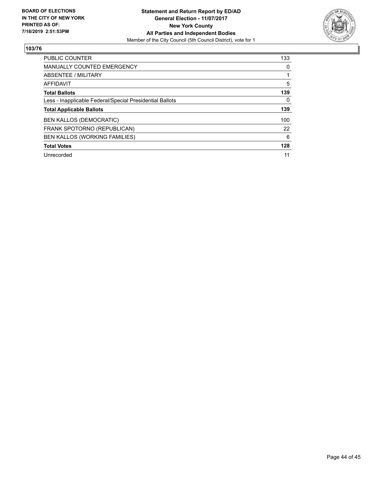![](_page_43_Picture_2.jpeg)

| <b>PUBLIC COUNTER</b>                                    | 133 |
|----------------------------------------------------------|-----|
| <b>MANUALLY COUNTED EMERGENCY</b>                        | 0   |
| ABSENTEE / MILITARY                                      |     |
| AFFIDAVIT                                                | 5   |
| <b>Total Ballots</b>                                     | 139 |
| Less - Inapplicable Federal/Special Presidential Ballots | 0   |
| <b>Total Applicable Ballots</b>                          | 139 |
| <b>BEN KALLOS (DEMOCRATIC)</b>                           | 100 |
| FRANK SPOTORNO (REPUBLICAN)                              | 22  |
| <b>BEN KALLOS (WORKING FAMILIES)</b>                     | 6   |
| <b>Total Votes</b>                                       | 128 |
| Unrecorded                                               | 11  |